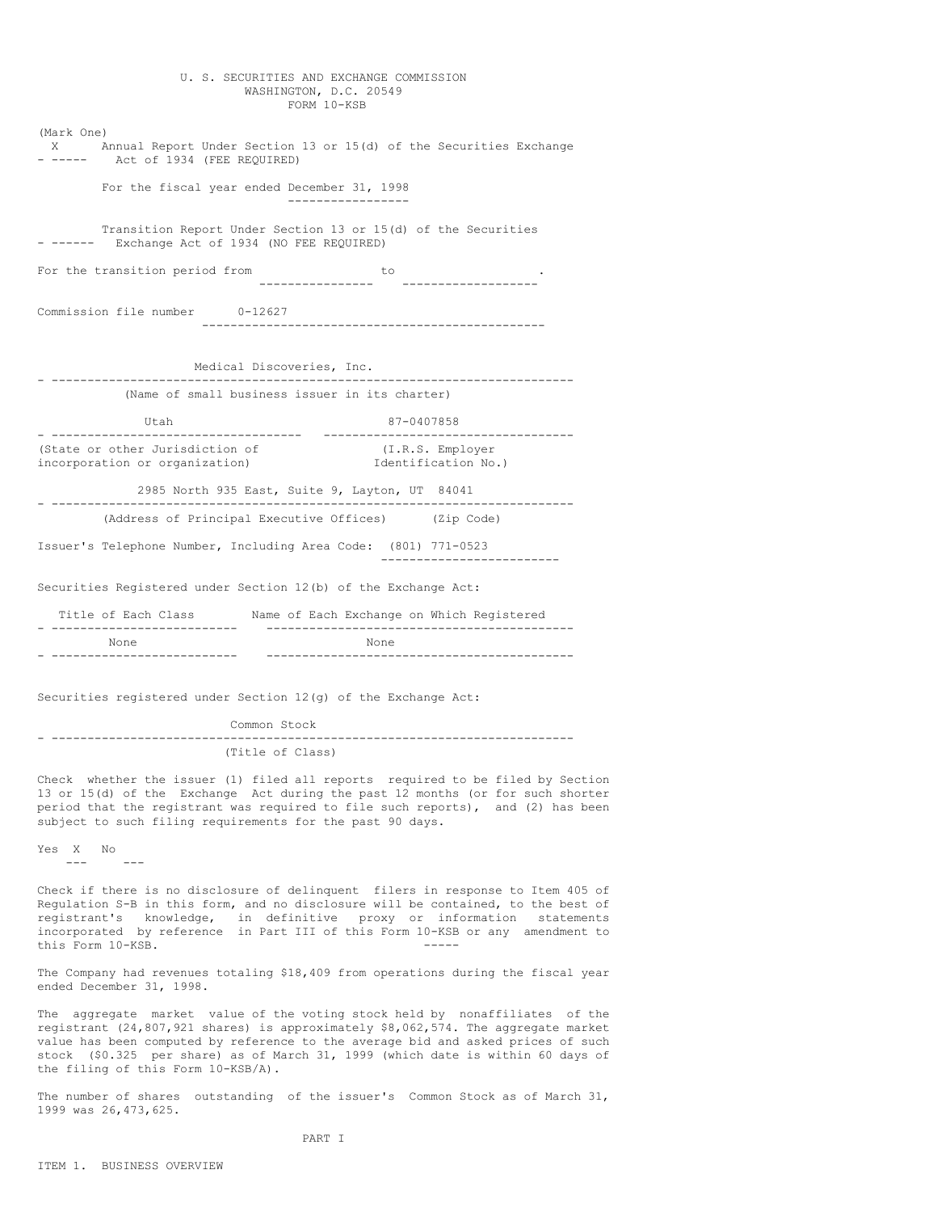U. S. SECURITIES AND EXCHANGE COMMISSION WASHINGTON, D.C. 20549 FORM 10-KSB

(Mark One) X Annual Report Under Section 13 or 15(d) of the Securities Exchange - ----- Act of 1934 (FEE REQUIRED) For the fiscal year ended December 31, 1998 ----------------- Transition Report Under Section 13 or 15(d) of the Securities - ------ Exchange Act of 1934 (NO FEE REQUIRED) For the transition period from to . ---------------- ------------------- Commission file number 0-12627 ------------------------------------------------ Medical Discoveries, Inc. - ------------------------------------------------------------------------- (Name of small business issuer in its charter) Utah 87-0407858 - ----------------------------------- ----------------------------------- (State or other Jurisdiction of (I.R.S. Employer incorporation or organization) [dentification No.) 2985 North 935 East, Suite 9, Layton, UT 84041 - ------------------------------------------------------------------------- (Address of Principal Executive Offices) (Zip Code) Issuer's Telephone Number, Including Area Code: (801) 771-0523 ------------------------- Securities Registered under Section 12(b) of the Exchange Act:

| Title of Each Class |      |  |  |      |  | Name of Each Exchange on Which Registered |
|---------------------|------|--|--|------|--|-------------------------------------------|
|                     |      |  |  |      |  |                                           |
|                     | None |  |  | None |  |                                           |
|                     |      |  |  |      |  |                                           |

Securities registered under Section 12(g) of the Exchange Act:

Common Stock - ------------------------------------------------------------------------- (Title of Class)

Check whether the issuer (1) filed all reports required to be filed by Section 13 or 15(d) of the Exchange Act during the past 12 months (or for such shorter period that the registrant was required to file such reports), and (2) has been subject to such filing requirements for the past 90 days.

#### Yes X No --- ---

Check if there is no disclosure of delinquent filers in response to Item 405 of Regulation S-B in this form, and no disclosure will be contained, to the best of registrant's knowledge, in definitive proxy or information statements incorporated by reference in Part III of this Form 10-KSB or any amendment to this Form 10-KSB.

The Company had revenues totaling \$18,409 from operations during the fiscal year ended December 31, 1998.

The aggregate market value of the voting stock held by nonaffiliates of the registrant (24,807,921 shares) is approximately \$8,062,574. The aggregate market value has been computed by reference to the average bid and asked prices of such stock (\$0.325 per share) as of March 31, 1999 (which date is within 60 days of the filing of this Form 10-KSB/A).

The number of shares outstanding of the issuer's Common Stock as of March 31, 1999 was 26,473,625.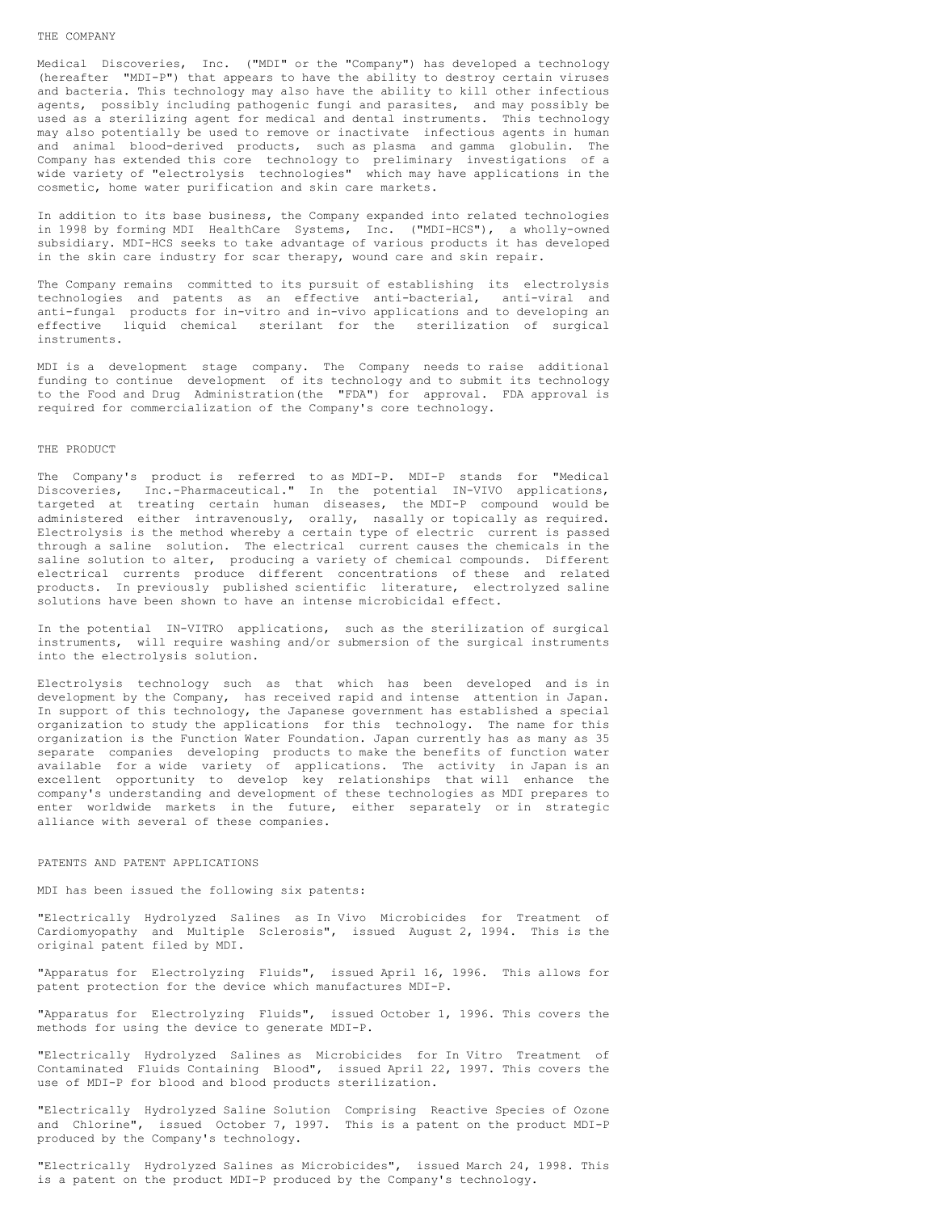#### THE COMPANY

Medical Discoveries, Inc. ("MDI" or the "Company") has developed a technology (hereafter "MDI-P") that appears to have the ability to destroy certain viruses and bacteria. This technology may also have the ability to kill other infectious agents, possibly including pathogenic fungi and parasites, and may possibly be used as a sterilizing agent for medical and dental instruments. This technology may also potentially be used to remove or inactivate infectious agents in human and animal blood-derived products, such as plasma and gamma globulin. The Company has extended this core technology to preliminary investigations of a wide variety of "electrolysis technologies" which may have applications in the cosmetic, home water purification and skin care markets.

In addition to its base business, the Company expanded into related technologies in 1998 by forming MDI HealthCare Systems, Inc. ("MDI-HCS"), a wholly-owned subsidiary. MDI-HCS seeks to take advantage of various products it has developed in the skin care industry for scar therapy, wound care and skin repair.

The Company remains committed to its pursuit of establishing its electrolysis technologies and patents as an effective anti-bacterial, anti-viral and anti-fungal products for in-vitro and in-vivo applications and to developing an effective liquid chemical sterilant for the sterilization of surgical instruments.

MDI is a development stage company. The Company needs to raise additional funding to continue development of its technology and to submit its technology to the Food and Drug Administration(the "FDA") for approval. FDA approval is required for commercialization of the Company's core technology.

#### THE PRODUCT

The Company's product is referred to as MDI-P. MDI-P stands for "Medical Discoveries, Inc.-Pharmaceutical." In the potential IN-VIVO applications, targeted at treating certain human diseases, the MDI-P compound would be administered either intravenously, orally, nasally or topically as required. Electrolysis is the method whereby a certain type of electric current is passed through a saline solution. The electrical current causes the chemicals in the saline solution to alter, producing a variety of chemical compounds. Different electrical currents produce different concentrations of these and related products. In previously published scientific literature, electrolyzed saline solutions have been shown to have an intense microbicidal effect.

In the potential IN-VITRO applications, such as the sterilization of surgical instruments, will require washing and/or submersion of the surgical instruments into the electrolysis solution.

Electrolysis technology such as that which has been developed and is in development by the Company, has received rapid and intense attention in Japan. In support of this technology, the Japanese government has established a special organization to study the applications for this technology. The name for this organization is the Function Water Foundation. Japan currently has as many as 35 separate companies developing products to make the benefits of function water available for a wide variety of applications. The activity in Japan is an excellent opportunity to develop key relationships that will enhance the company's understanding and development of these technologies as MDI prepares to enter worldwide markets in the future, either separately or in strategic alliance with several of these companies.

# PATENTS AND PATENT APPLICATIONS

MDI has been issued the following six patents:

"Electrically Hydrolyzed Salines as In Vivo Microbicides for Treatment of Cardiomyopathy and Multiple Sclerosis", issued August 2, 1994. This is the original patent filed by MDI.

"Apparatus for Electrolyzing Fluids", issued April 16, 1996. This allows for patent protection for the device which manufactures MDI-P.

"Apparatus for Electrolyzing Fluids", issued October 1, 1996. This covers the methods for using the device to generate MDI-P.

"Electrically Hydrolyzed Salines as Microbicides for In Vitro Treatment of Contaminated Fluids Containing Blood", issued April 22, 1997. This covers the use of MDI-P for blood and blood products sterilization.

"Electrically Hydrolyzed Saline Solution Comprising Reactive Species of Ozone and Chlorine", issued October 7, 1997. This is a patent on the product MDI-P produced by the Company's technology.

"Electrically Hydrolyzed Salines as Microbicides", issued March 24, 1998. This is a patent on the product MDI-P produced by the Company's technology.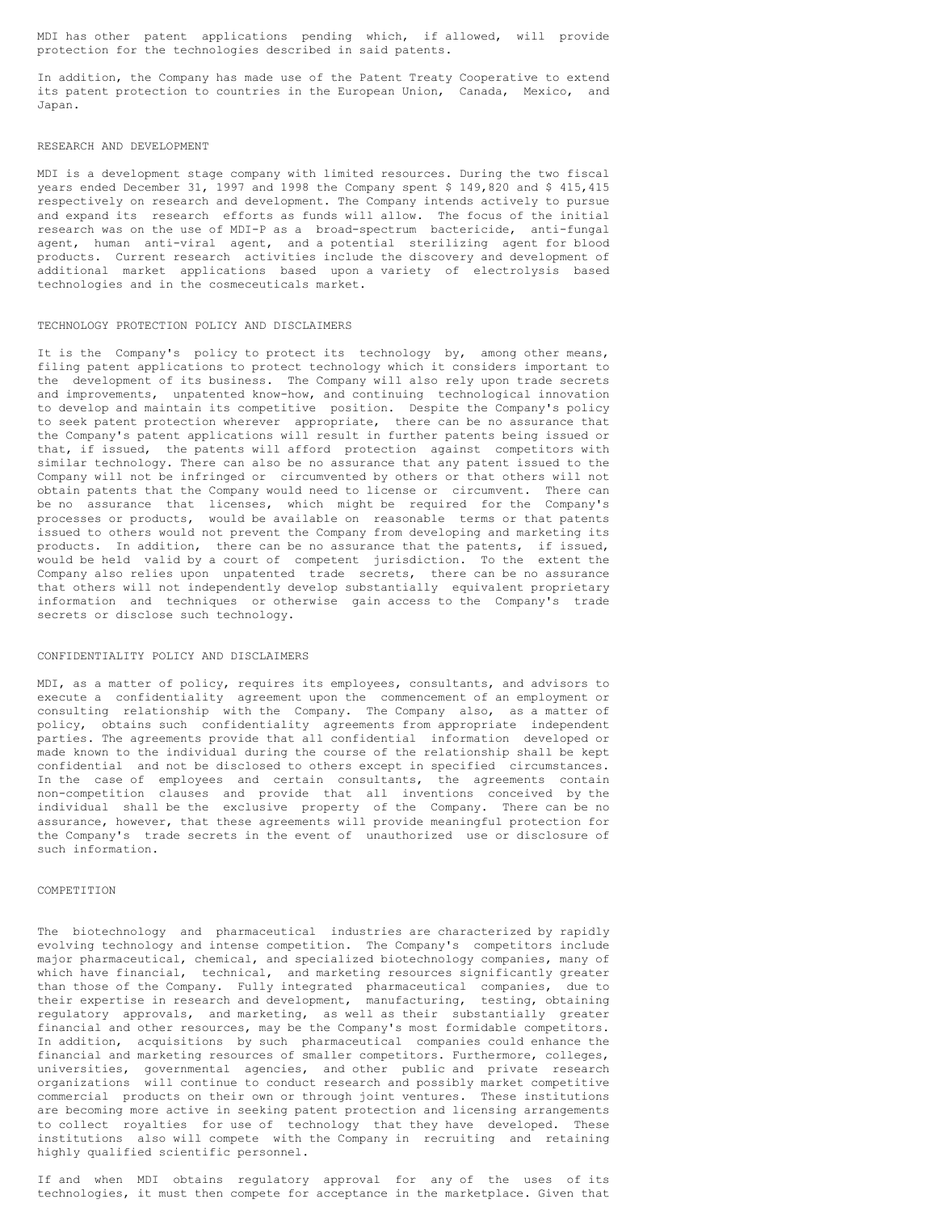MDI has other patent applications pending which, if allowed, will provide protection for the technologies described in said patents.

In addition, the Company has made use of the Patent Treaty Cooperative to extend its patent protection to countries in the European Union, Canada, Mexico, and Japan.

## RESEARCH AND DEVELOPMENT

MDI is a development stage company with limited resources. During the two fiscal years ended December 31, 1997 and 1998 the Company spent \$ 149,820 and \$ 415,415 respectively on research and development. The Company intends actively to pursue and expand its research efforts as funds will allow. The focus of the initial research was on the use of MDI-P as a broad-spectrum bactericide, anti-fungal agent, human anti-viral agent, and a potential sterilizing agent for blood products. Current research activities include the discovery and development of additional market applications based upon a variety of electrolysis based technologies and in the cosmeceuticals market.

## TECHNOLOGY PROTECTION POLICY AND DISCLAIMERS

It is the Company's policy to protect its technology by, among other means, filing patent applications to protect technology which it considers important to the development of its business. The Company will also rely upon trade secrets and improvements, unpatented know-how, and continuing technological innovation to develop and maintain its competitive position. Despite the Company's policy to seek patent protection wherever appropriate, there can be no assurance that the Company's patent applications will result in further patents being issued or that, if issued, the patents will afford protection against competitors with similar technology. There can also be no assurance that any patent issued to the Company will not be infringed or circumvented by others or that others will not obtain patents that the Company would need to license or circumvent. There can be no assurance that licenses, which might be required for the Company's processes or products, would be available on reasonable terms or that patents issued to others would not prevent the Company from developing and marketing its products. In addition, there can be no assurance that the patents, if issued, would be held valid by a court of competent jurisdiction. To the extent the Company also relies upon unpatented trade secrets, there can be no assurance that others will not independently develop substantially equivalent proprietary information and techniques or otherwise gain access to the Company's trade secrets or disclose such technology.

# CONFIDENTIALITY POLICY AND DISCLAIMERS

MDI, as a matter of policy, requires its employees, consultants, and advisors to execute a confidentiality agreement upon the commencement of an employment or consulting relationship with the Company. The Company also, as a matter of policy, obtains such confidentiality agreements from appropriate independent parties. The agreements provide that all confidential information developed or made known to the individual during the course of the relationship shall be kept confidential and not be disclosed to others except in specified circumstances. In the case of employees and certain consultants, the agreements contain non-competition clauses and provide that all inventions conceived by the individual shall be the exclusive property of the Company. There can be no assurance, however, that these agreements will provide meaningful protection for the Company's trade secrets in the event of unauthorized use or disclosure of such information.

# **COMPETITION**

The biotechnology and pharmaceutical industries are characterized by rapidly evolving technology and intense competition. The Company's competitors include major pharmaceutical, chemical, and specialized biotechnology companies, many of which have financial, technical, and marketing resources significantly greater than those of the Company. Fully integrated pharmaceutical companies, due to their expertise in research and development, manufacturing, testing, obtaining regulatory approvals, and marketing, as well as their substantially greater financial and other resources, may be the Company's most formidable competitors. In addition, acquisitions by such pharmaceutical companies could enhance the financial and marketing resources of smaller competitors. Furthermore, colleges, universities, governmental agencies, and other public and private research organizations will continue to conduct research and possibly market competitive commercial products on their own or through joint ventures. These institutions are becoming more active in seeking patent protection and licensing arrangements to collect royalties for use of technology that they have developed. These institutions also will compete with the Company in recruiting and retaining highly qualified scientific personnel.

If and when MDI obtains regulatory approval for any of the uses of its technologies, it must then compete for acceptance in the marketplace. Given that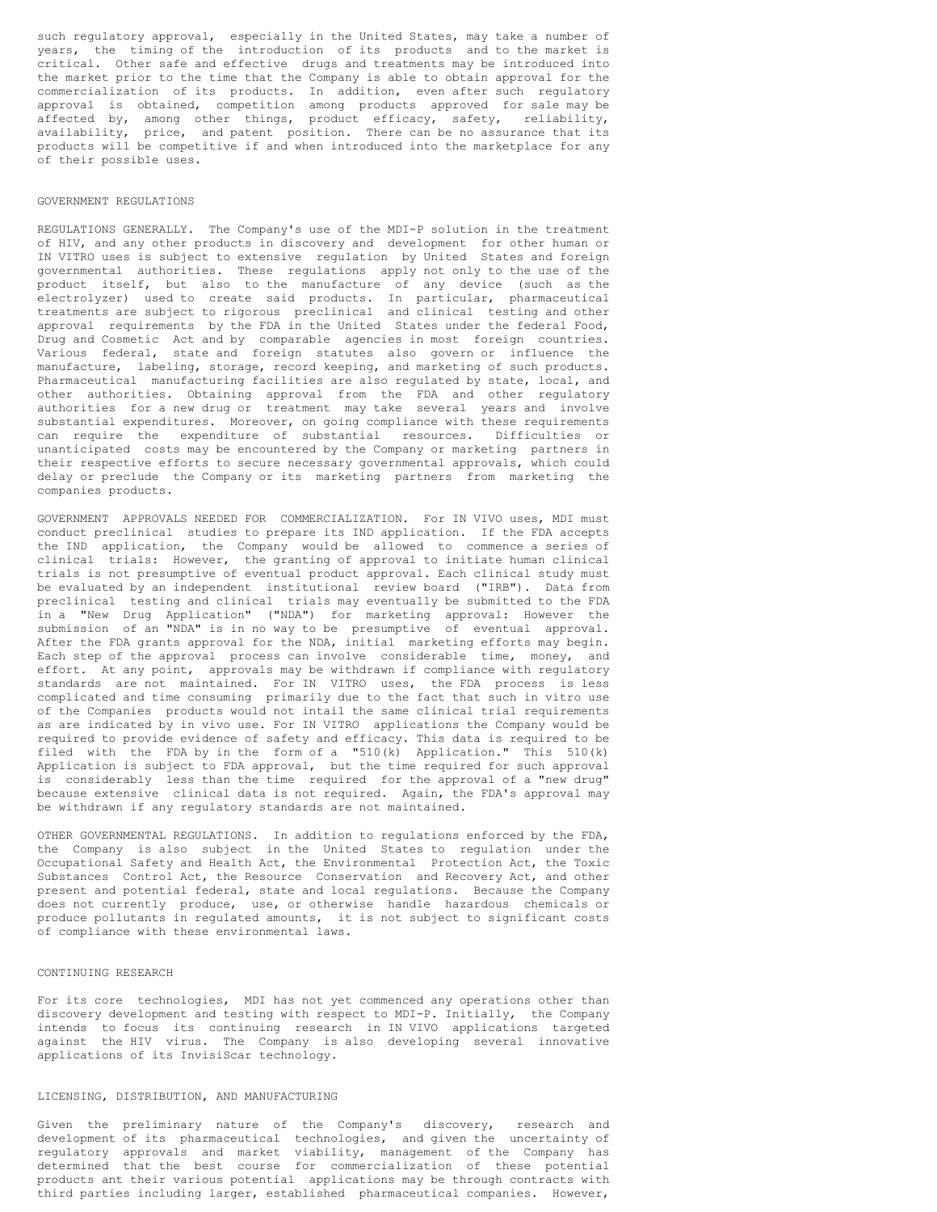such regulatory approval, especially in the United States, may take a number of years, the timing of the introduction of its products and to the market is critical. Other safe and effective drugs and treatments may be introduced into the market prior to the time that the Company is able to obtain approval for the commercialization of its products. In addition, even after such regulatory approval is obtained, competition among products approved for sale may be affected by, among other things, product efficacy, safety, reliability, availability, price, and patent position. There can be no assurance that its products will be competitive if and when introduced into the marketplace for any of their possible uses.

# GOVERNMENT REGULATIONS

REGULATIONS GENERALLY. The Company's use of the MDI-P solution in the treatment of HIV, and any other products in discovery and development for other human or IN VITRO uses is subject to extensive regulation by United States and foreign governmental authorities. These regulations apply not only to the use of the product itself, but also to the manufacture of any device (such as the electrolyzer) used to create said products. In particular, pharmaceutical treatments are subject to rigorous preclinical and clinical testing and other approval requirements by the FDA in the United States under the federal Food, Drug and Cosmetic Act and by comparable agencies in most foreign countries. Various federal, state and foreign statutes also govern or influence the manufacture, labeling, storage, record keeping, and marketing of such products. Pharmaceutical manufacturing facilities are also regulated by state, local, and other authorities. Obtaining approval from the FDA and other regulatory authorities for a new drug or treatment may take several years and involve substantial expenditures. Moreover, on going compliance with these requirements can require the expenditure of substantial resources. Difficulties or unanticipated costs may be encountered by the Company or marketing partners in their respective efforts to secure necessary governmental approvals, which could delay or preclude the Company or its marketing partners from marketing the companies products.

GOVERNMENT APPROVALS NEEDED FOR COMMERCIALIZATION. For IN VIVO uses, MDI must conduct preclinical studies to prepare its IND application. If the FDA accepts the IND application, the Company would be allowed to commence a series of clinical trials: However, the granting of approval to initiate human clinical trials is not presumptive of eventual product approval. Each clinical study must be evaluated by an independent institutional review board ("IRB"). Data from preclinical testing and clinical trials may eventually be submitted to the FDA in a "New Drug Application" ("NDA") for marketing approval: However the submission of an "NDA" is in no way to be presumptive of eventual approval. After the FDA grants approval for the NDA, initial marketing efforts may begin. Each step of the approval process can involve considerable time, money, and effort. At any point, approvals may be withdrawn if compliance with regulatory standards are not maintained. For IN VITRO uses, the FDA process is less complicated and time consuming primarily due to the fact that such in vitro use of the Companies products would not intail the same clinical trial requirements as are indicated by in vivo use. For IN VITRO applications the Company would be required to provide evidence of safety and efficacy. This data is required to be filed with the FDA by in the form of a "510(k) Application." This 510(k) Application is subject to FDA approval, but the time required for such approval is considerably less than the time required for the approval of a "new drug" because extensive clinical data is not required. Again, the FDA's approval may be withdrawn if any regulatory standards are not maintained.

OTHER GOVERNMENTAL REGULATIONS. In addition to regulations enforced by the FDA, the Company is also subject in the United States to regulation under the Occupational Safety and Health Act, the Environmental Protection Act, the Toxic Substances Control Act, the Resource Conservation and Recovery Act, and other present and potential federal, state and local regulations. Because the Company does not currently produce, use, or otherwise handle hazardous chemicals or produce pollutants in regulated amounts, it is not subject to significant costs of compliance with these environmental laws.

#### CONTINUING RESEARCH

For its core technologies, MDI has not yet commenced any operations other than discovery development and testing with respect to MDI-P. Initially, the Company intends to focus its continuing research in IN VIVO applications targeted against the HIV virus. The Company is also developing several innovative applications of its InvisiScar technology.

## LICENSING, DISTRIBUTION, AND MANUFACTURING

Given the preliminary nature of the Company's discovery, research and development of its pharmaceutical technologies, and given the uncertainty of regulatory approvals and market viability, management of the Company has determined that the best course for commercialization of these potential products ant their various potential applications may be through contracts with third parties including larger, established pharmaceutical companies. However,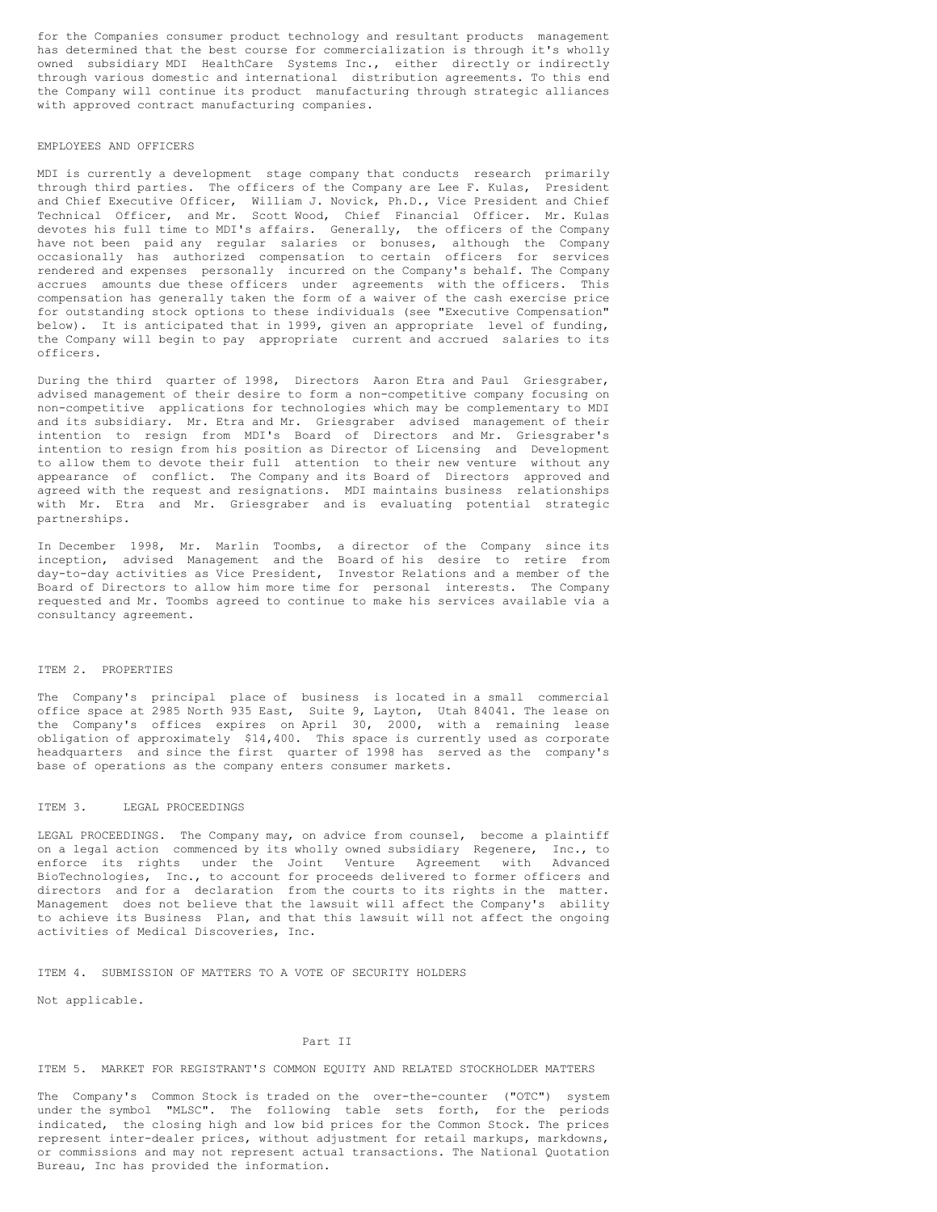for the Companies consumer product technology and resultant products management has determined that the best course for commercialization is through it's wholly owned subsidiary MDI HealthCare Systems Inc., either directly or indirectly through various domestic and international distribution agreements. To this end the Company will continue its product manufacturing through strategic alliances with approved contract manufacturing companies.

#### EMPLOYEES AND OFFICERS

MDI is currently a development stage company that conducts research primarily through third parties. The officers of the Company are Lee F. Kulas, President and Chief Executive Officer, William J. Novick, Ph.D., Vice President and Chief Technical Officer, and Mr. Scott Wood, Chief Financial Officer. Mr. Kulas devotes his full time to MDI's affairs. Generally, the officers of the Company have not been paid any regular salaries or bonuses, although the Company occasionally has authorized compensation to certain officers for services rendered and expenses personally incurred on the Company's behalf. The Company accrues amounts due these officers under agreements with the officers. This compensation has generally taken the form of a waiver of the cash exercise price for outstanding stock options to these individuals (see "Executive Compensation" below). It is anticipated that in 1999, given an appropriate level of funding, the Company will begin to pay appropriate current and accrued salaries to its officers.

During the third quarter of 1998, Directors Aaron Etra and Paul Griesgraber, advised management of their desire to form a non-competitive company focusing on non-competitive applications for technologies which may be complementary to MDI and its subsidiary. Mr. Etra and Mr. Griesgraber advised management of their intention to resign from MDI's Board of Directors and Mr. Griesgraber's intention to resign from his position as Director of Licensing and Development to allow them to devote their full attention to their new venture without any appearance of conflict. The Company and its Board of Directors approved and agreed with the request and resignations. MDI maintains business relationships with Mr. Etra and Mr. Griesgraber and is evaluating potential strategic partnerships.

In December 1998, Mr. Marlin Toombs, a director of the Company since its inception, advised Management and the Board of his desire to retire from day-to-day activities as Vice President, Investor Relations and a member of the Board of Directors to allow him more time for personal interests. The Company requested and Mr. Toombs agreed to continue to make his services available via a consultancy agreement.

# ITEM 2. PROPERTIES

The Company's principal place of business is located in a small commercial office space at 2985 North 935 East, Suite 9, Layton, Utah 84041. The lease on the Company's offices expires on April 30, 2000, with a remaining lease obligation of approximately \$14,400. This space is currently used as corporate headquarters and since the first quarter of 1998 has served as the company's base of operations as the company enters consumer markets.

#### ITEM 3. LEGAL PROCEEDINGS

LEGAL PROCEEDINGS. The Company may, on advice from counsel, become a plaintiff on a legal action commenced by its wholly owned subsidiary Regenere, Inc., to enforce its rights under the Joint Venture Agreement with Advanced BioTechnologies, Inc., to account for proceeds delivered to former officers and directors and for a declaration from the courts to its rights in the matter. Management does not believe that the lawsuit will affect the Company's ability to achieve its Business Plan, and that this lawsuit will not affect the ongoing activities of Medical Discoveries, Inc.

ITEM 4. SUBMISSION OF MATTERS TO A VOTE OF SECURITY HOLDERS

Not applicable.

# Part II

#### ITEM 5. MARKET FOR REGISTRANT'S COMMON EQUITY AND RELATED STOCKHOLDER MATTERS

The Company's Common Stock is traded on the over-the-counter ("OTC") system under the symbol "MLSC". The following table sets forth, for the periods indicated, the closing high and low bid prices for the Common Stock. The prices represent inter-dealer prices, without adjustment for retail markups, markdowns, or commissions and may not represent actual transactions. The National Quotation Bureau, Inc has provided the information.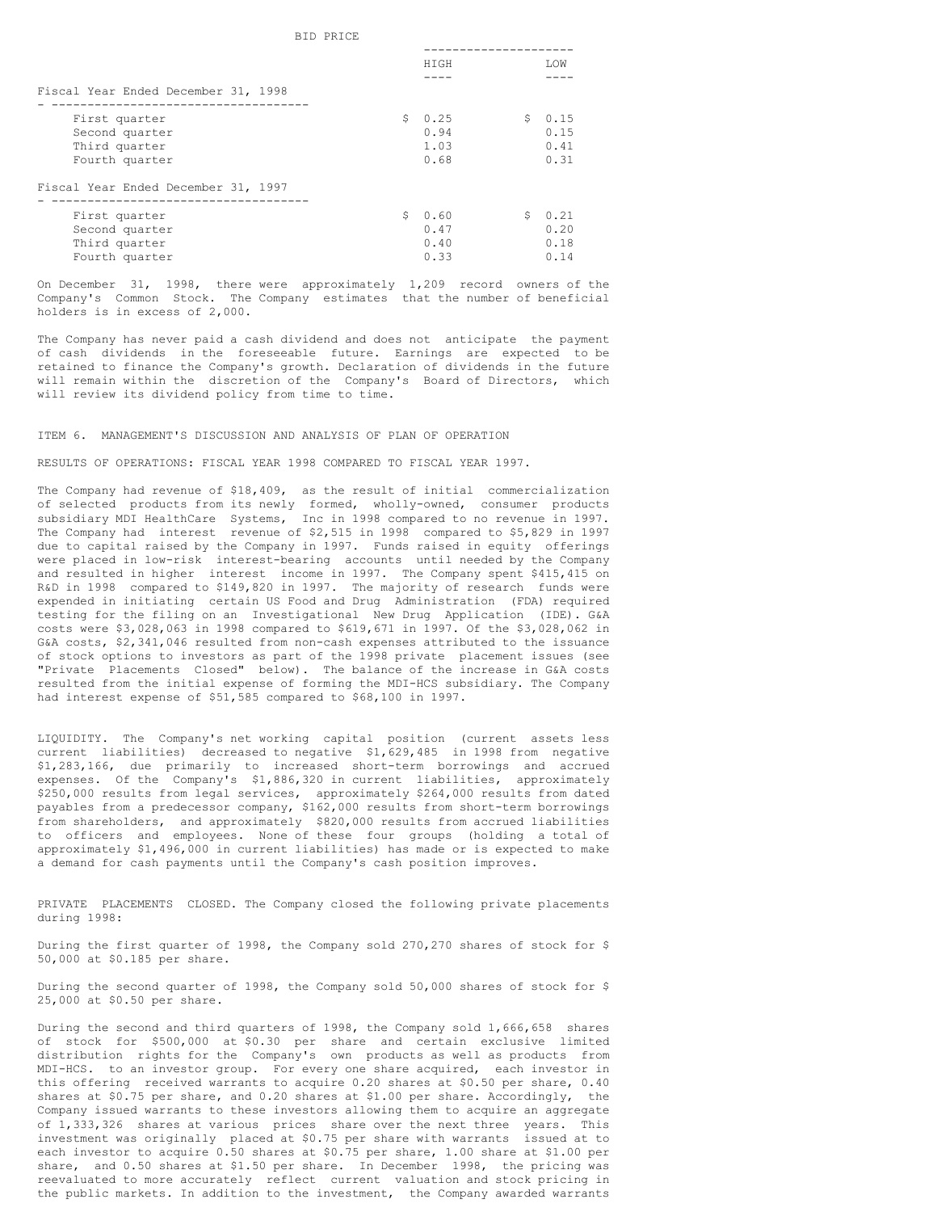---------------------

| Fiscal Year Ended December 31, 1998                                |    | <b>HTGH</b>                  |    | <b>MOJ</b>                   |
|--------------------------------------------------------------------|----|------------------------------|----|------------------------------|
| First quarter<br>Second quarter<br>Third quarter<br>Fourth quarter | S. | 0.25<br>0.94<br>1.03<br>0.68 | S. | 0.15<br>0.15<br>0.41<br>0.31 |
| Fiscal Year Ended December 31, 1997                                |    |                              |    |                              |
| First quarter<br>Second quarter<br>Third quarter<br>Fourth quarter | S. | 0.60<br>0.47<br>0.40<br>0.33 | S. | 0.21<br>0.20<br>0.18<br>0.14 |

On December 31, 1998, there were approximately 1,209 record owners of the Company's Common Stock. The Company estimates that the number of beneficial holders is in excess of 2,000.

The Company has never paid a cash dividend and does not anticipate the payment of cash dividends in the foreseeable future. Earnings are expected to be retained to finance the Company's growth. Declaration of dividends in the future will remain within the discretion of the Company's Board of Directors, which will review its dividend policy from time to time.

## ITEM 6. MANAGEMENT'S DISCUSSION AND ANALYSIS OF PLAN OF OPERATION

RESULTS OF OPERATIONS: FISCAL YEAR 1998 COMPARED TO FISCAL YEAR 1997.

The Company had revenue of \$18,409, as the result of initial commercialization of selected products from its newly formed, wholly-owned, consumer products subsidiary MDI HealthCare Systems, Inc in 1998 compared to no revenue in 1997. The Company had interest revenue of \$2,515 in 1998 compared to \$5,829 in 1997 due to capital raised by the Company in 1997. Funds raised in equity offerings were placed in low-risk interest-bearing accounts until needed by the Company and resulted in higher interest income in 1997. The Company spent \$415,415 on R&D in 1998 compared to \$149,820 in 1997. The majority of research funds were expended in initiating certain US Food and Drug Administration (FDA) required testing for the filing on an Investigational New Drug Application (IDE). G&A costs were \$3,028,063 in 1998 compared to \$619,671 in 1997. Of the \$3,028,062 in G&A costs, \$2,341,046 resulted from non-cash expenses attributed to the issuance of stock options to investors as part of the 1998 private placement issues (see "Private Placements Closed" below). The balance of the increase in G&A costs resulted from the initial expense of forming the MDI-HCS subsidiary. The Company had interest expense of \$51,585 compared to \$68,100 in 1997.

LIQUIDITY. The Company's net working capital position (current assets less current liabilities) decreased to negative \$1,629,485 in 1998 from negative \$1,283,166, due primarily to increased short-term borrowings and accrued expenses. Of the Company's \$1,886,320 in current liabilities, approximately \$250,000 results from legal services, approximately \$264,000 results from dated payables from a predecessor company, \$162,000 results from short-term borrowings from shareholders, and approximately \$820,000 results from accrued liabilities to officers and employees. None of these four groups (holding a total of approximately \$1,496,000 in current liabilities) has made or is expected to make a demand for cash payments until the Company's cash position improves.

PRIVATE PLACEMENTS CLOSED. The Company closed the following private placements during 1998:

During the first quarter of 1998, the Company sold 270,270 shares of stock for \$ 50,000 at \$0.185 per share.

During the second quarter of 1998, the Company sold 50,000 shares of stock for \$ 25,000 at \$0.50 per share.

During the second and third quarters of 1998, the Company sold 1,666,658 shares of stock for \$500,000 at \$0.30 per share and certain exclusive limited distribution rights for the Company's own products as well as products from MDI-HCS. to an investor group. For every one share acquired, each investor in this offering received warrants to acquire 0.20 shares at \$0.50 per share, 0.40 shares at \$0.75 per share, and 0.20 shares at \$1.00 per share. Accordingly, the Company issued warrants to these investors allowing them to acquire an aggregate of 1,333,326 shares at various prices share over the next three years. This investment was originally placed at \$0.75 per share with warrants issued at to each investor to acquire 0.50 shares at \$0.75 per share, 1.00 share at \$1.00 per share, and 0.50 shares at \$1.50 per share. In December 1998, the pricing was reevaluated to more accurately reflect current valuation and stock pricing in the public markets. In addition to the investment, the Company awarded warrants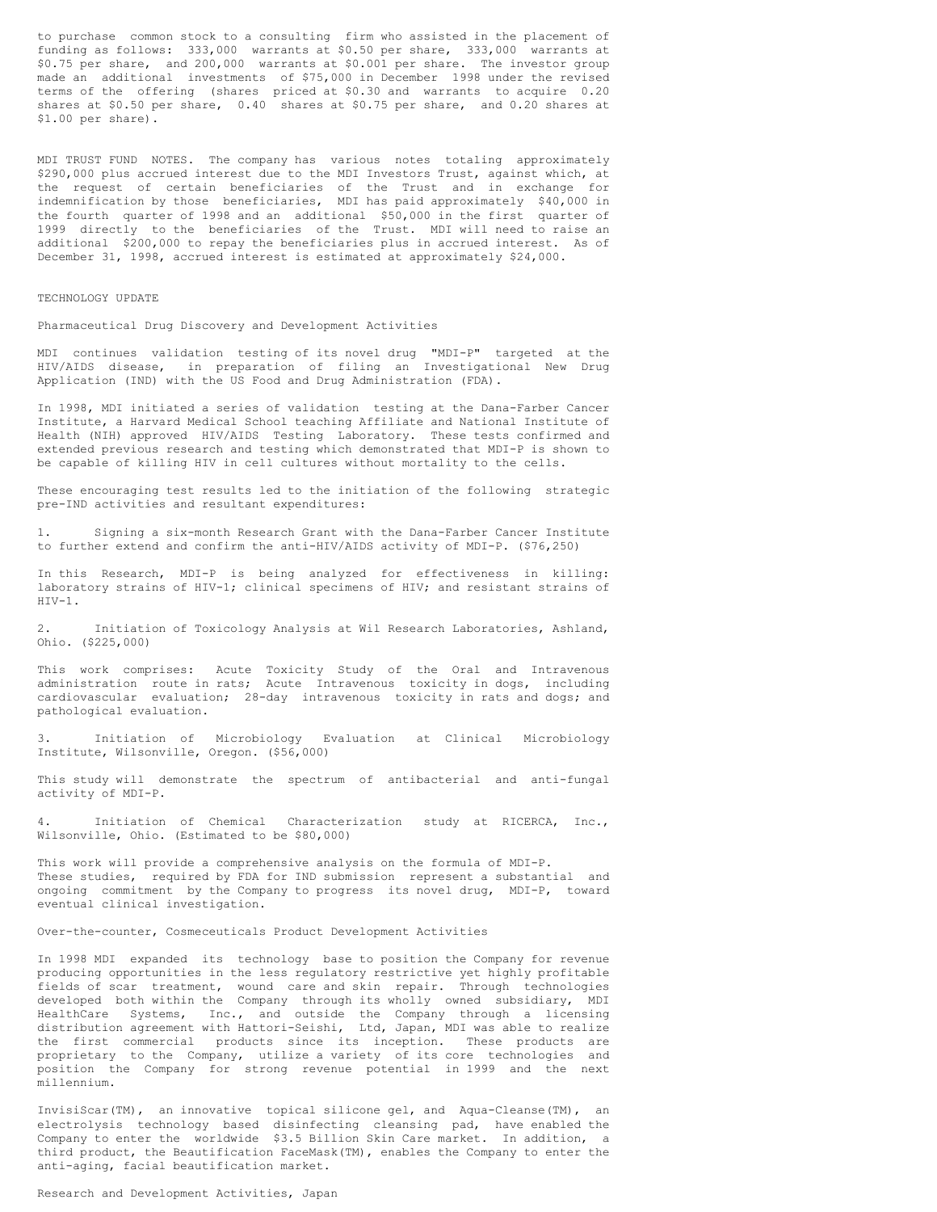to purchase common stock to a consulting firm who assisted in the placement of funding as follows: 333,000 warrants at \$0.50 per share, 333,000 warrants at \$0.75 per share, and 200,000 warrants at \$0.001 per share. The investor group made an additional investments of \$75,000 in December 1998 under the revised terms of the offering (shares priced at \$0.30 and warrants to acquire 0.20 shares at \$0.50 per share, 0.40 shares at \$0.75 per share, and 0.20 shares at \$1.00 per share).

MDI TRUST FUND NOTES. The company has various notes totaling approximately \$290,000 plus accrued interest due to the MDI Investors Trust, against which, at the request of certain beneficiaries of the Trust and in exchange for indemnification by those beneficiaries, MDI has paid approximately \$40,000 in the fourth quarter of 1998 and an additional \$50,000 in the first quarter of 1999 directly to the beneficiaries of the Trust. MDI will need to raise an additional \$200,000 to repay the beneficiaries plus in accrued interest. As of December 31, 1998, accrued interest is estimated at approximately \$24,000.

#### TECHNOLOGY UPDATE

Pharmaceutical Drug Discovery and Development Activities

MDI continues validation testing of its novel drug "MDI-P" targeted at the HIV/AIDS disease, in preparation of filing an Investigational New Drug Application (IND) with the US Food and Drug Administration (FDA).

In 1998, MDI initiated a series of validation testing at the Dana-Farber Cancer Institute, a Harvard Medical School teaching Affiliate and National Institute of Health (NIH) approved HIV/AIDS Testing Laboratory. These tests confirmed and extended previous research and testing which demonstrated that MDI-P is shown to be capable of killing HIV in cell cultures without mortality to the cells.

These encouraging test results led to the initiation of the following strategic pre-IND activities and resultant expenditures:

1. Signing a six-month Research Grant with the Dana-Farber Cancer Institute to further extend and confirm the anti-HIV/AIDS activity of MDI-P. (\$76,250)

In this Research, MDI-P is being analyzed for effectiveness in killing: laboratory strains of HIV-1; clinical specimens of HIV; and resistant strains of HIV-1.

2. Initiation of Toxicology Analysis at Wil Research Laboratories, Ashland, Ohio. (\$225,000)

This work comprises: Acute Toxicity Study of the Oral and Intravenous administration route in rats; Acute Intravenous toxicity in dogs, including cardiovascular evaluation; 28-day intravenous toxicity in rats and dogs; and pathological evaluation.

3. Initiation of Microbiology Evaluation at Clinical Microbiology Institute, Wilsonville, Oregon. (\$56,000)

This study will demonstrate the spectrum of antibacterial and anti-fungal activity of MDI-P.

4. Initiation of Chemical Characterization study at RICERCA, Inc., Wilsonville, Ohio. (Estimated to be \$80,000)

This work will provide a comprehensive analysis on the formula of MDI-P. These studies, required by FDA for IND submission represent a substantial and ongoing commitment by the Company to progress its novel drug, MDI-P, toward eventual clinical investigation.

# Over-the-counter, Cosmeceuticals Product Development Activities

In 1998 MDI expanded its technology base to position the Company for revenue producing opportunities in the less regulatory restrictive yet highly profitable fields of scar treatment, wound care and skin repair. Through technologies developed both within the Company through its wholly owned subsidiary, MDI HealthCare Systems, Inc., and outside the Company through a licensing distribution agreement with Hattori-Seishi, Ltd, Japan, MDI was able to realize the first commercial products since its inception. These products are proprietary to the Company, utilize a variety of its core technologies and position the Company for strong revenue potential in 1999 and the next millennium.

InvisiScar(TM), an innovative topical silicone gel, and Aqua-Cleanse(TM), an electrolysis technology based disinfecting cleansing pad, have enabled the Company to enter the worldwide \$3.5 Billion Skin Care market. In addition, a third product, the Beautification FaceMask(TM), enables the Company to enter the anti-aging, facial beautification market.

# Research and Development Activities, Japan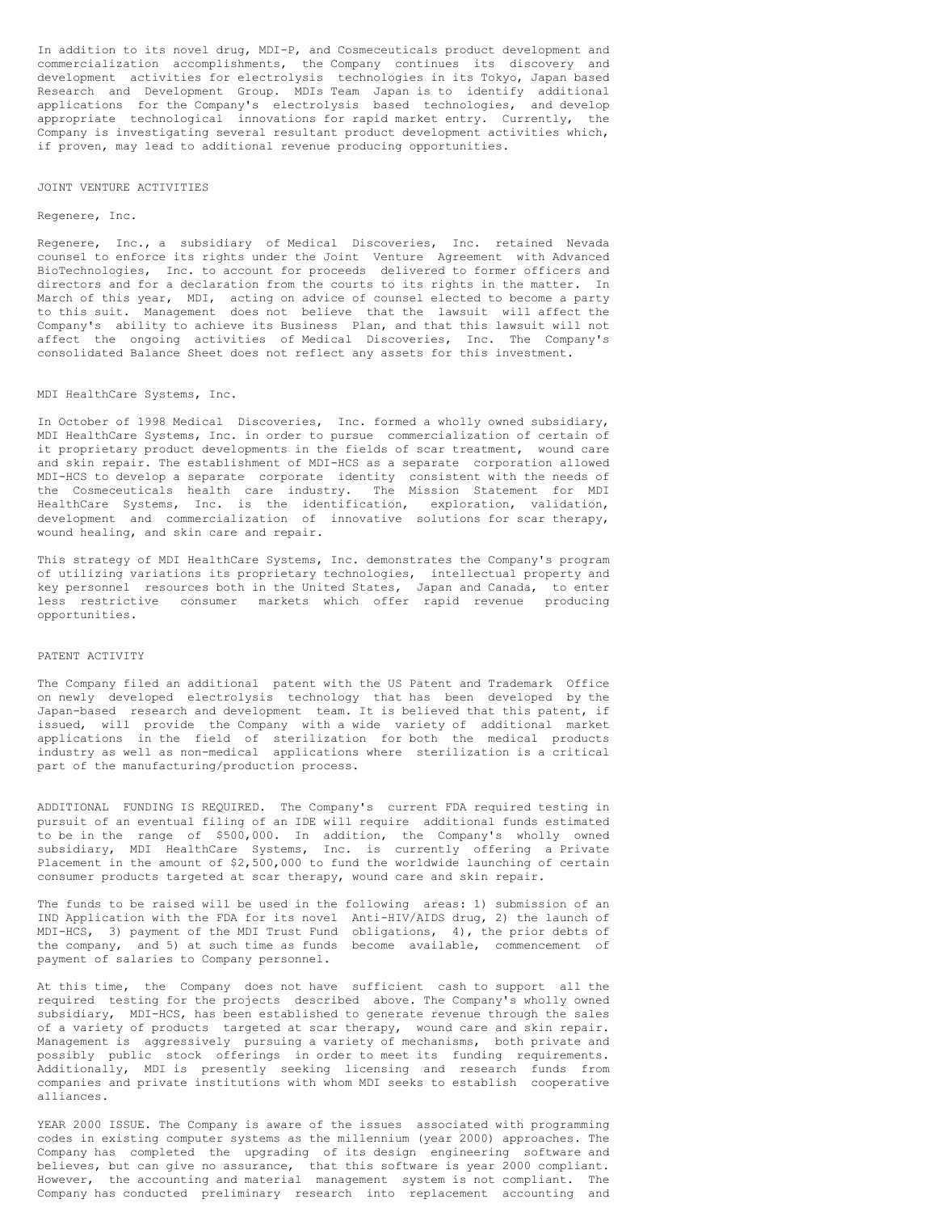In addition to its novel drug, MDI-P, and Cosmeceuticals product development and commercialization accomplishments, the Company continues its discovery and development activities for electrolysis technologies in its Tokyo, Japan based Research and Development Group. MDIs Team Japan is to identify additional applications for the Company's electrolysis based technologies, and develop appropriate technological innovations for rapid market entry. Currently, the Company is investigating several resultant product development activities which, if proven, may lead to additional revenue producing opportunities.

# JOINT VENTURE ACTIVITIES

#### Regenere, Inc.

Regenere, Inc., a subsidiary of Medical Discoveries, Inc. retained Nevada counsel to enforce its rights under the Joint Venture Agreement with Advanced BioTechnologies, Inc. to account for proceeds delivered to former officers and directors and for a declaration from the courts to its rights in the matter. In March of this year, MDI, acting on advice of counsel elected to become a party to this suit. Management does not believe that the lawsuit will affect the Company's ability to achieve its Business Plan, and that this lawsuit will not affect the ongoing activities of Medical Discoveries, Inc. The Company's consolidated Balance Sheet does not reflect any assets for this investment.

#### MDI HealthCare Systems, Inc.

In October of 1998 Medical Discoveries, Inc. formed a wholly owned subsidiary, MDI HealthCare Systems, Inc. in order to pursue commercialization of certain of it proprietary product developments in the fields of scar treatment, wound care and skin repair. The establishment of MDI-HCS as a separate corporation allowed MDI-HCS to develop a separate corporate identity consistent with the needs of the Cosmeceuticals health care industry. The Mission Statement for MDI HealthCare Systems, Inc. is the identification, exploration, validation, development and commercialization of innovative solutions for scar therapy, wound healing, and skin care and repair.

This strategy of MDI HealthCare Systems, Inc. demonstrates the Company's program of utilizing variations its proprietary technologies, intellectual property and key personnel resources both in the United States, Japan and Canada, to enter less restrictive consumer markets which offer rapid revenue producing opportunities.

## PATENT ACTIVITY

The Company filed an additional patent with the US Patent and Trademark Office on newly developed electrolysis technology that has been developed by the Japan-based research and development team. It is believed that this patent, if issued, will provide the Company with a wide variety of additional market applications in the field of sterilization for both the medical products industry as well as non-medical applications where sterilization is a critical part of the manufacturing/production process.

ADDITIONAL FUNDING IS REQUIRED. The Company's current FDA required testing in pursuit of an eventual filing of an IDE will require additional funds estimated to be in the range of \$500,000. In addition, the Company's wholly owned subsidiary, MDI HealthCare Systems, Inc. is currently offering a Private Placement in the amount of \$2,500,000 to fund the worldwide launching of certain consumer products targeted at scar therapy, wound care and skin repair.

The funds to be raised will be used in the following areas: 1) submission of an IND Application with the FDA for its novel Anti-HIV/AIDS drug, 2) the launch of MDI-HCS, 3) payment of the MDI Trust Fund obligations, 4), the prior debts of the company, and 5) at such time as funds become available, commencement of payment of salaries to Company personnel.

At this time, the Company does not have sufficient cash to support all the required testing for the projects described above. The Company's wholly owned subsidiary, MDI-HCS, has been established to generate revenue through the sales of a variety of products targeted at scar therapy, wound care and skin repair. Management is aggressively pursuing a variety of mechanisms, both private and possibly public stock offerings in order to meet its funding requirements. Additionally, MDI is presently seeking licensing and research funds from companies and private institutions with whom MDI seeks to establish cooperative alliances.

YEAR 2000 ISSUE. The Company is aware of the issues associated with programming codes in existing computer systems as the millennium (year 2000) approaches. The Company has completed the upgrading of its design engineering software and believes, but can give no assurance, that this software is year 2000 compliant. However, the accounting and material management system is not compliant. The Company has conducted preliminary research into replacement accounting and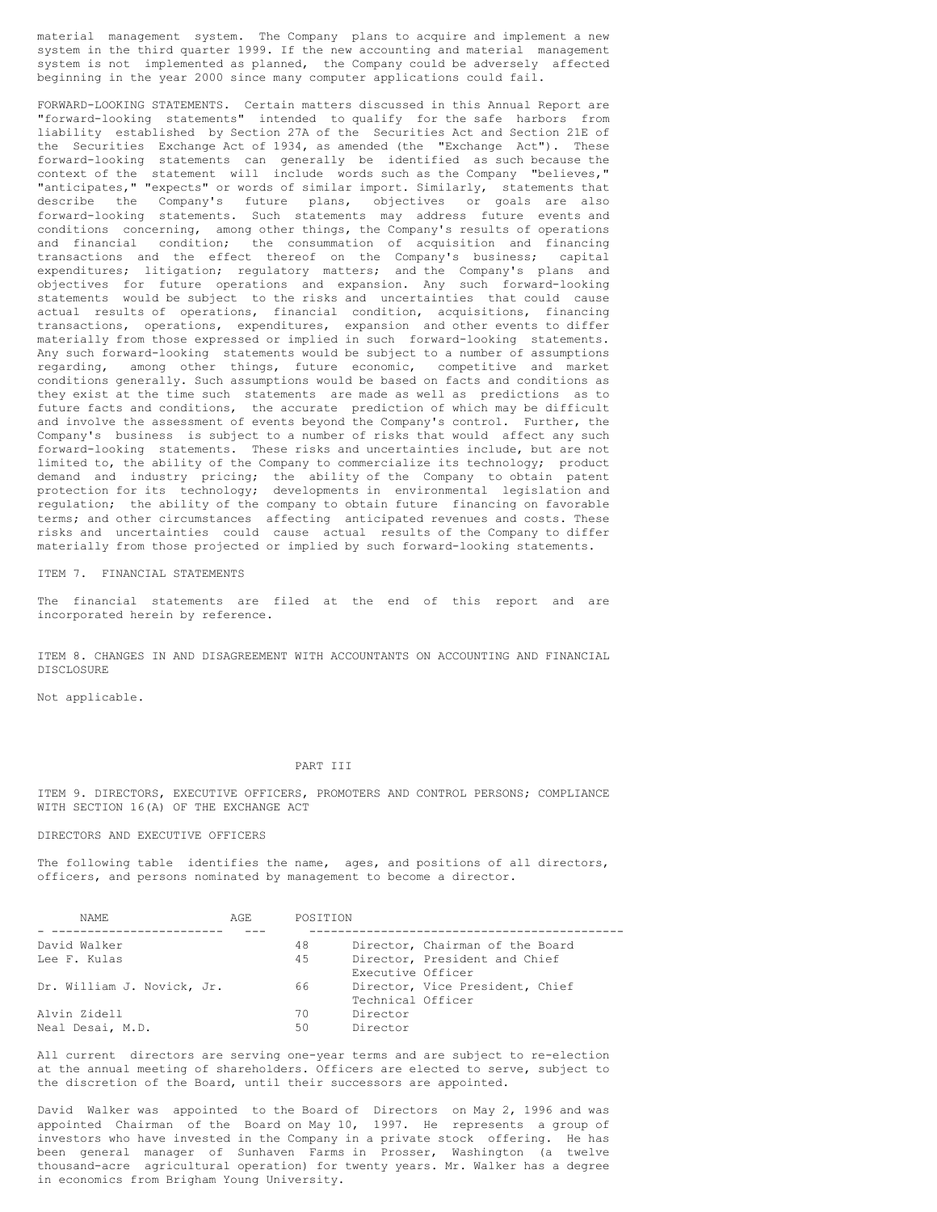material management system. The Company plans to acquire and implement a new system in the third quarter 1999. If the new accounting and material management system is not implemented as planned, the Company could be adversely affected beginning in the year 2000 since many computer applications could fail.

FORWARD-LOOKING STATEMENTS. Certain matters discussed in this Annual Report are "forward-looking statements" intended to qualify for the safe harbors from liability established by Section 27A of the Securities Act and Section 21E of the Securities Exchange Act of 1934, as amended (the "Exchange Act"). These forward-looking statements can generally be identified as such because the context of the statement will include words such as the Company "believes," "anticipates," "expects" or words of similar import. Similarly, statements that describe the Company's future plans, objectives or goals are also forward-looking statements. Such statements may address future events and conditions concerning, among other things, the Company's results of operations and financial condition; the consummation of acquisition and financing transactions and the effect thereof on the Company's business; capital expenditures; litigation; regulatory matters; and the Company's plans and objectives for future operations and expansion. Any such forward-looking statements would be subject to the risks and uncertainties that could cause actual results of operations, financial condition, acquisitions, financing transactions, operations, expenditures, expansion and other events to differ materially from those expressed or implied in such forward-looking statements. Any such forward-looking statements would be subject to a number of assumptions regarding, among other things, future economic, competitive and market conditions generally. Such assumptions would be based on facts and conditions as they exist at the time such statements are made as well as predictions as to future facts and conditions, the accurate prediction of which may be difficult and involve the assessment of events beyond the Company's control. Further, the Company's business is subject to a number of risks that would affect any such forward-looking statements. These risks and uncertainties include, but are not limited to, the ability of the Company to commercialize its technology; product demand and industry pricing; the ability of the Company to obtain patent protection for its technology; developments in environmental legislation and regulation; the ability of the company to obtain future financing on favorable terms; and other circumstances affecting anticipated revenues and costs. These risks and uncertainties could cause actual results of the Company to differ materially from those projected or implied by such forward-looking statements.

ITEM 7. FINANCIAL STATEMENTS

The financial statements are filed at the end of this report and are incorporated herein by reference.

ITEM 8. CHANGES IN AND DISAGREEMENT WITH ACCOUNTANTS ON ACCOUNTING AND FINANCIAL **DISCLOSURE** 

Not applicable.

## PART III

ITEM 9. DIRECTORS, EXECUTIVE OFFICERS, PROMOTERS AND CONTROL PERSONS; COMPLIANCE WITH SECTION 16(A) OF THE EXCHANGE ACT

DIRECTORS AND EXECUTIVE OFFICERS

The following table identifies the name, ages, and positions of all directors, officers, and persons nominated by management to become a director.

| NAMF.                      | AGE. | POSITION |                   |                                 |
|----------------------------|------|----------|-------------------|---------------------------------|
| David Walker               |      | 48       |                   | Director, Chairman of the Board |
| Lee F. Kulas               |      | 45       |                   | Director, President and Chief   |
|                            |      |          | Executive Officer |                                 |
| Dr. William J. Novick, Jr. |      | 66       |                   | Director, Vice President, Chief |
|                            |      |          | Technical Officer |                                 |
| Alvin Zidell               |      | 70.      | Director          |                                 |
| Neal Desai, M.D.           |      | 50       | Director          |                                 |

All current directors are serving one-year terms and are subject to re-election at the annual meeting of shareholders. Officers are elected to serve, subject to the discretion of the Board, until their successors are appointed.

David Walker was appointed to the Board of Directors on May 2, 1996 and was appointed Chairman of the Board on May 10, 1997. He represents a group of investors who have invested in the Company in a private stock offering. He has been general manager of Sunhaven Farms in Prosser, Washington (a twelve thousand-acre agricultural operation) for twenty years. Mr. Walker has a degree in economics from Brigham Young University.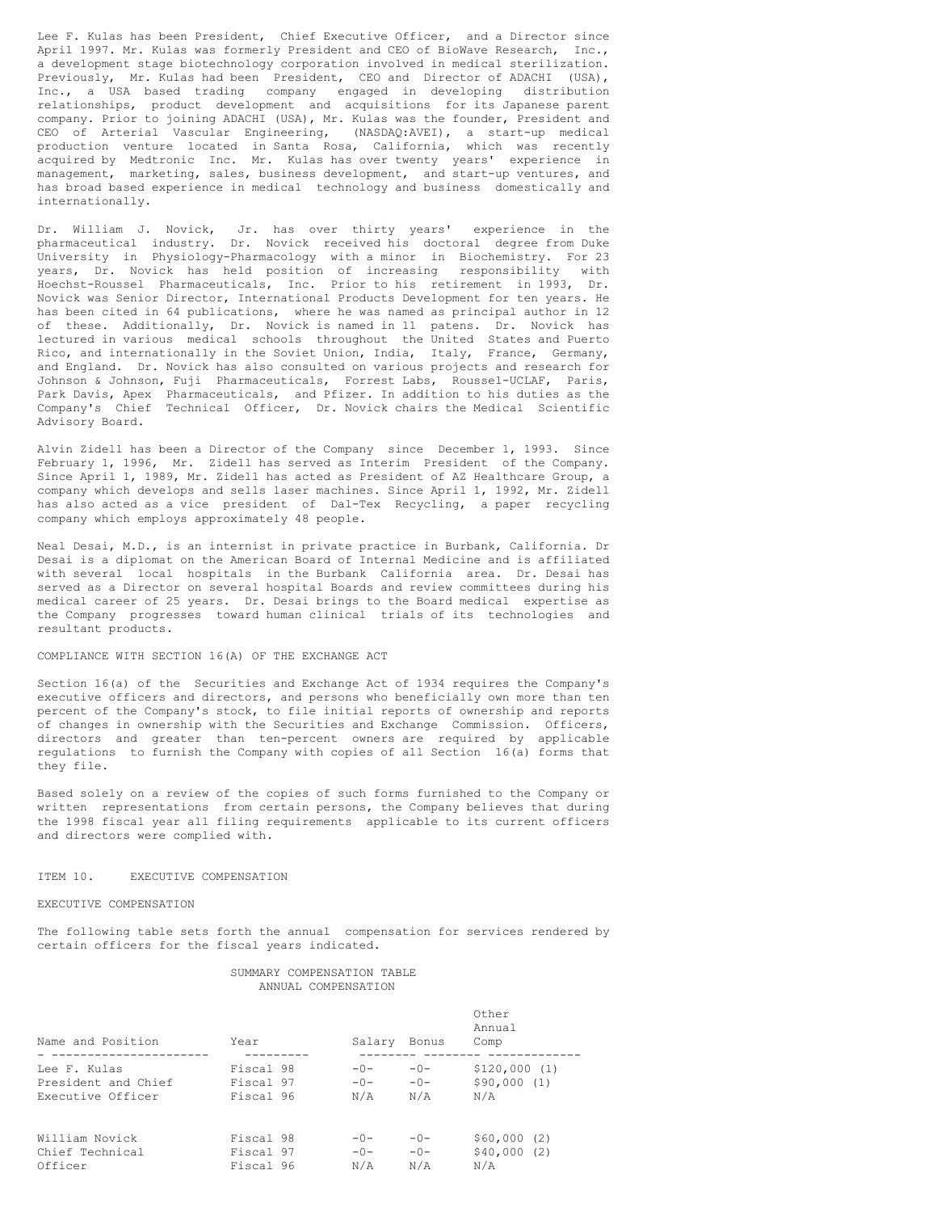Lee F. Kulas has been President, Chief Executive Officer, and a Director since April 1997. Mr. Kulas was formerly President and CEO of BioWave Research, Inc., a development stage biotechnology corporation involved in medical sterilization. Previously, Mr. Kulas had been President, CEO and Director of ADACHI (USA), Inc., a USA based trading company engaged in developing distribution relationships, product development and acquisitions for its Japanese parent company. Prior to joining ADACHI (USA), Mr. Kulas was the founder, President and CEO of Arterial Vascular Engineering, (NASDAQ:AVEI), a start-up medical production venture located in Santa Rosa, California, which was recently acquired by Medtronic Inc. Mr. Kulas has over twenty years' experience in management, marketing, sales, business development, and start-up ventures, and has broad based experience in medical technology and business domestically and internationally.

Dr. William J. Novick, Jr. has over thirty years' experience in the pharmaceutical industry. Dr. Novick received his doctoral degree from Duke University in Physiology-Pharmacology with a minor in Biochemistry. For 23 years, Dr. Novick has held position of increasing responsibility with Hoechst-Roussel Pharmaceuticals, Inc. Prior to his retirement in 1993, Dr. Novick was Senior Director, International Products Development for ten years. He has been cited in 64 publications, where he was named as principal author in 12 of these. Additionally, Dr. Novick is named in 11 patens. Dr. Novick has lectured in various medical schools throughout the United States and Puerto Rico, and internationally in the Soviet Union, India, Italy, France, Germany, and England. Dr. Novick has also consulted on various projects and research for Johnson & Johnson, Fuji Pharmaceuticals, Forrest Labs, Roussel-UCLAF, Paris, Park Davis, Apex Pharmaceuticals, and Pfizer. In addition to his duties as the Company's Chief Technical Officer, Dr. Novick chairs the Medical Scientific Advisory Board.

Alvin Zidell has been a Director of the Company since December 1, 1993. Since February 1, 1996, Mr. Zidell has served as Interim President of the Company. Since April 1, 1989, Mr. Zidell has acted as President of AZ Healthcare Group, a company which develops and sells laser machines. Since April 1, 1992, Mr. Zidell has also acted as a vice president of Dal-Tex Recycling, a paper recycling company which employs approximately 48 people.

Neal Desai, M.D., is an internist in private practice in Burbank, California. Dr Desai is a diplomat on the American Board of Internal Medicine and is affiliated with several local hospitals in the Burbank California area. Dr. Desai has served as a Director on several hospital Boards and review committees during his medical career of 25 years. Dr. Desai brings to the Board medical expertise as the Company progresses toward human clinical trials of its technologies and resultant products.

# COMPLIANCE WITH SECTION 16(A) OF THE EXCHANGE ACT

Section 16(a) of the Securities and Exchange Act of 1934 requires the Company's executive officers and directors, and persons who beneficially own more than ten percent of the Company's stock, to file initial reports of ownership and reports of changes in ownership with the Securities and Exchange Commission. Officers, directors and greater than ten-percent owners are required by applicable regulations to furnish the Company with copies of all Section 16(a) forms that they file.

Based solely on a review of the copies of such forms furnished to the Company or written representations from certain persons, the Company believes that during the 1998 fiscal year all filing requirements applicable to its current officers and directors were complied with.

# ITEM 10. EXECUTIVE COMPENSATION

#### EXECUTIVE COMPENSATION

The following table sets forth the annual compensation for services rendered by certain officers for the fiscal years indicated.

## SUMMARY COMPENSATION TABLE ANNUAL COMPENSATION

| Name and Position   | Year      | Salary | Bonus | Other<br>Annual<br>Comp |
|---------------------|-----------|--------|-------|-------------------------|
| Lee F. Kulas        | Fiscal 98 | $-0-$  | $-0-$ | \$120,000(1)            |
| President and Chief | Fiscal 97 | $-0-$  | $-0-$ | \$90,000(1)             |
| Executive Officer   | Fiscal 96 | N/A    | N/A   | N/A                     |
| William Novick      | Fiscal 98 | $-0-$  | $-0-$ | \$60,000(2)             |
| Chief Technical     | Fiscal 97 | $-0-$  | $-0-$ | \$40,000(2)             |
| Officer             | Fiscal 96 | N/A    | N/A   | N/A                     |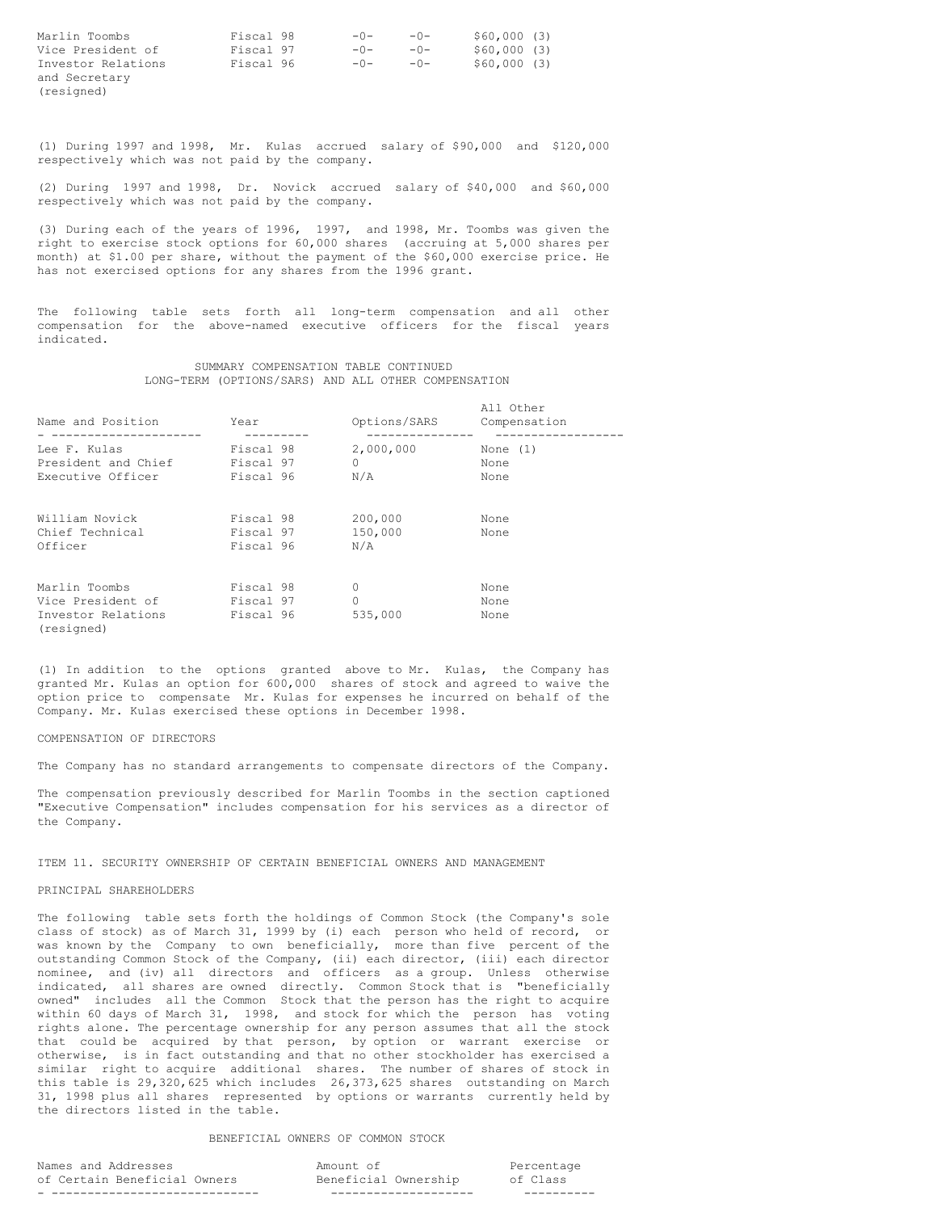| Marlin Toombs      | Fiscal 98 | $-0-$ | $-0-$ | \$60,000 (3) |
|--------------------|-----------|-------|-------|--------------|
| Vice President of  | Fiscal 97 | $-0-$ | $-0-$ | \$60,000(3)  |
| Investor Relations | Fiscal 96 | $-0-$ | $-0-$ | \$60,000(3)  |
| and Secretary      |           |       |       |              |
| (resigned)         |           |       |       |              |

(1) During 1997 and 1998, Mr. Kulas accrued salary of \$90,000 and \$120,000 respectively which was not paid by the company.

(2) During 1997 and 1998, Dr. Novick accrued salary of \$40,000 and \$60,000 respectively which was not paid by the company.

(3) During each of the years of 1996, 1997, and 1998, Mr. Toombs was given the right to exercise stock options for 60,000 shares (accruing at 5,000 shares per month) at \$1.00 per share, without the payment of the \$60,000 exercise price. He has not exercised options for any shares from the 1996 grant.

The following table sets forth all long-term compensation and all other compensation for the above-named executive officers for the fiscal years indicated.

> SUMMARY COMPENSATION TABLE CONTINUED LONG-TERM (OPTIONS/SARS) AND ALL OTHER COMPENSATION

| Name and Position                   | Year                   | Options/SARS          | All Other<br>Compensation |
|-------------------------------------|------------------------|-----------------------|---------------------------|
| Lee F. Kulas<br>President and Chief | Fiscal 98<br>Fiscal 97 | 2,000,000<br>$\Omega$ | None (1)<br>None          |
| Executive Officer                   | Fiscal 96              | N/A                   | None                      |
| William Novick                      | Fiscal 98              | 200,000               | None                      |
| Chief Technical<br>Officer          | Fiscal 97<br>Fiscal 96 | 150,000<br>N/A        | None                      |
| Marlin Toombs                       | Fiscal 98              | 0                     | None                      |
| Vice President of                   | Fiscal 97              | $\Omega$              | None                      |
| Investor Relations<br>(resigned)    | Fiscal 96              | 535,000               | None                      |

(1) In addition to the options granted above to Mr. Kulas, the Company has granted Mr. Kulas an option for 600,000 shares of stock and agreed to waive the option price to compensate Mr. Kulas for expenses he incurred on behalf of the Company. Mr. Kulas exercised these options in December 1998.

# COMPENSATION OF DIRECTORS

The Company has no standard arrangements to compensate directors of the Company.

The compensation previously described for Marlin Toombs in the section captioned "Executive Compensation" includes compensation for his services as a director of the Company.

ITEM 11. SECURITY OWNERSHIP OF CERTAIN BENEFICIAL OWNERS AND MANAGEMENT

# PRINCIPAL SHAREHOLDERS

The following table sets forth the holdings of Common Stock (the Company's sole class of stock) as of March 31, 1999 by (i) each person who held of record, or was known by the Company to own beneficially, more than five percent of the outstanding Common Stock of the Company, (ii) each director, (iii) each director nominee, and (iv) all directors and officers as a group. Unless otherwise indicated, all shares are owned directly. Common Stock that is "beneficially owned" includes all the Common Stock that the person has the right to acquire within 60 days of March 31, 1998, and stock for which the person has voting rights alone. The percentage ownership for any person assumes that all the stock that could be acquired by that person, by option or warrant exercise or otherwise, is in fact outstanding and that no other stockholder has exercised a similar right to acquire additional shares. The number of shares of stock in this table is 29,320,625 which includes 26,373,625 shares outstanding on March 31, 1998 plus all shares represented by options or warrants currently held by the directors listed in the table.

# BENEFICIAL OWNERS OF COMMON STOCK

| of Certain Beneficial Owners | Beneficial Ownership | of Class |
|------------------------------|----------------------|----------|
|                              |                      |          |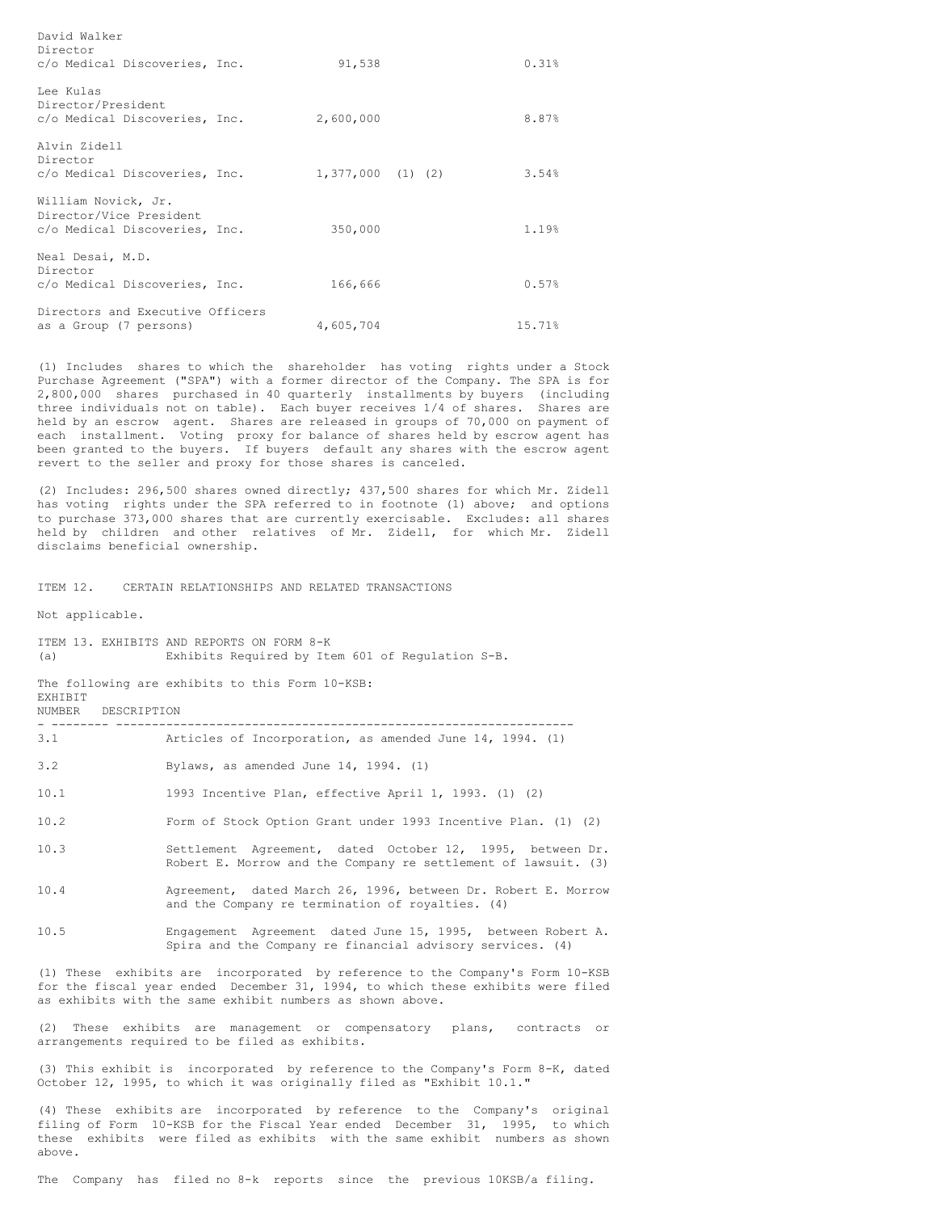| David Walker<br>Director                                                        |                     |        |
|---------------------------------------------------------------------------------|---------------------|--------|
| c/o Medical Discoveries, Inc.                                                   | 91,538              | 0.31%  |
| Lee Kulas<br>Director/President<br>c/o Medical Discoveries, Inc.                | 2,600,000           | 8.87%  |
| Alvin Zidell<br>Director<br>c/o Medical Discoveries, Inc.                       | $1,377,000$ (1) (2) | 3.54%  |
| William Novick, Jr.<br>Director/Vice President<br>c/o Medical Discoveries, Inc. | 350,000             | 1.19%  |
| Neal Desai, M.D.<br>Director<br>c/o Medical Discoveries, Inc.                   | 166,666             | 0.57%  |
| Directors and Executive Officers<br>as a Group (7 persons)                      | 4,605,704           | 15.71% |

(1) Includes shares to which the shareholder has voting rights under a Stock Purchase Agreement ("SPA") with a former director of the Company. The SPA is for 2,800,000 shares purchased in 40 quarterly installments by buyers (including three individuals not on table). Each buyer receives 1/4 of shares. Shares are held by an escrow agent. Shares are released in groups of 70,000 on payment of each installment. Voting proxy for balance of shares held by escrow agent has been granted to the buyers. If buyers default any shares with the escrow agent revert to the seller and proxy for those shares is canceled.

(2) Includes: 296,500 shares owned directly; 437,500 shares for which Mr. Zidell has voting rights under the SPA referred to in footnote (1) above; and options to purchase 373,000 shares that are currently exercisable. Excludes: all shares held by children and other relatives of Mr. Zidell, for which Mr. Zidell disclaims beneficial ownership.

ITEM 12. CERTAIN RELATIONSHIPS AND RELATED TRANSACTIONS

Not applicable.

ITEM 13. EXHIBITS AND REPORTS ON FORM 8-K (a) Exhibits Required by Item 601 of Regulation S-B.

The following are exhibits to this Form 10-KSB: EXHIBIT

NUMBER DESCRIPTION

| 3.1  | Articles of Incorporation, as amended June 14, 1994. (1)                                                                    |
|------|-----------------------------------------------------------------------------------------------------------------------------|
| 3.2  | Bylaws, as amended June $14$ , $1994$ . (1)                                                                                 |
| 10.1 | 1993 Incentive Plan, effective April 1, 1993. (1) (2)                                                                       |
| 10.2 | Form of Stock Option Grant under 1993 Incentive Plan. (1) (2)                                                               |
| 10.3 | Settlement Agreement, dated October 12, 1995, between Dr.<br>Robert E. Morrow and the Company re settlement of lawsuit. (3) |
| 10.4 | Agreement, dated March 26, 1996, between Dr. Robert E. Morrow<br>and the Company re termination of royalties. (4)           |

10.5 Engagement Agreement dated June 15, 1995, between Robert A. Spira and the Company re financial advisory services. (4)

(1) These exhibits are incorporated by reference to the Company's Form 10-KSB for the fiscal year ended December 31, 1994, to which these exhibits were filed as exhibits with the same exhibit numbers as shown above.

(2) These exhibits are management or compensatory plans, contracts or arrangements required to be filed as exhibits.

(3) This exhibit is incorporated by reference to the Company's Form 8-K, dated October 12, 1995, to which it was originally filed as "Exhibit 10.1."

(4) These exhibits are incorporated by reference to the Company's original filing of Form 10-KSB for the Fiscal Year ended December 31, 1995, to which these exhibits were filed as exhibits with the same exhibit numbers as shown above.

The Company has filed no 8-k reports since the previous 10KSB/a filing.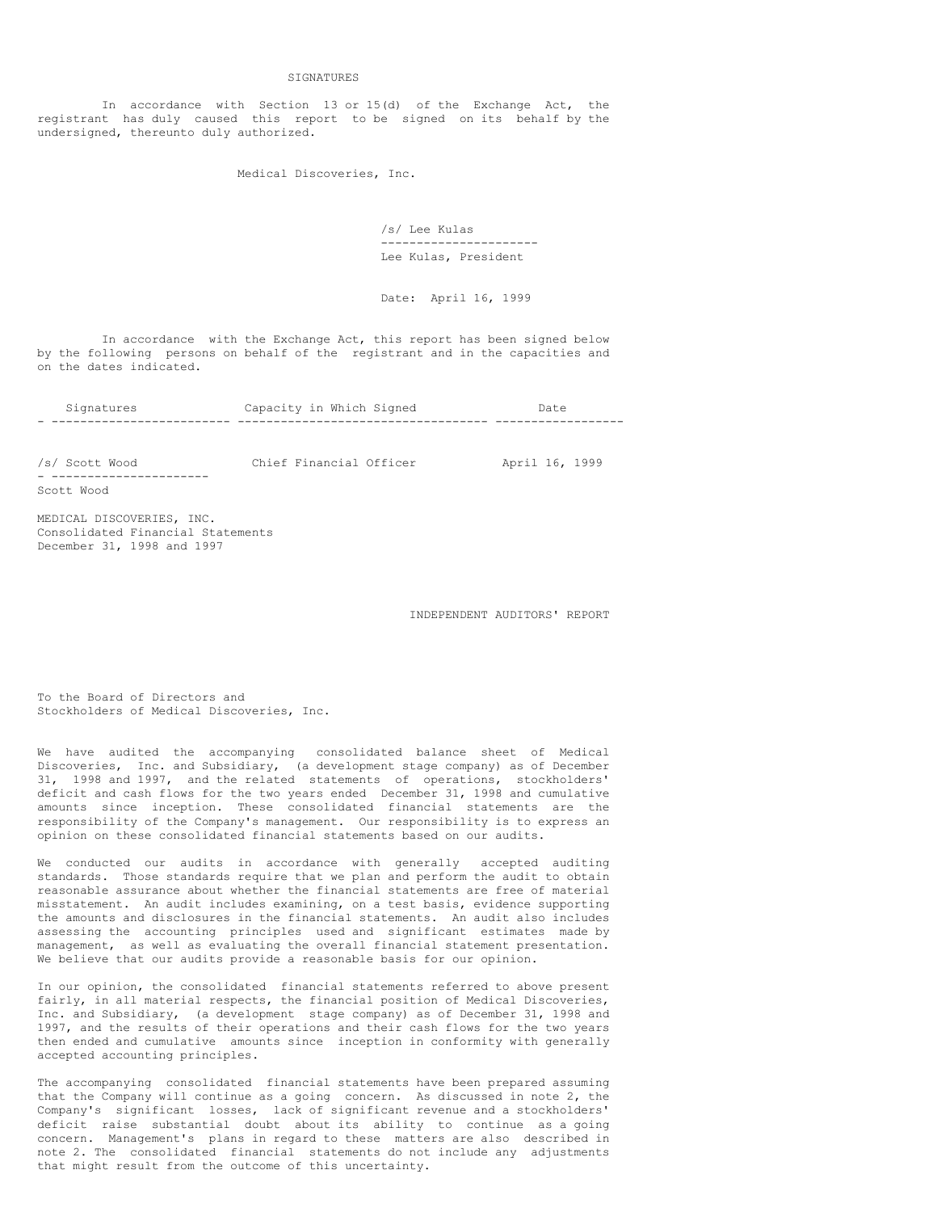#### SIGNATURES

In accordance with Section 13 or 15(d) of the Exchange Act, the registrant has duly caused this report to be signed on its behalf by the undersigned, thereunto duly authorized.

Medical Discoveries, Inc.

/s/ Lee Kulas ---------------------- Lee Kulas, President

Date: April 16, 1999

In accordance with the Exchange Act, this report has been signed below by the following persons on behalf of the registrant and in the capacities and on the dates indicated.

|        | Capacity in Which Signed<br>--- ------- |         |
|--------|-----------------------------------------|---------|
| $\sim$ |                                         | - - - - |

| /s/ Scott Wood | Chief Financial Officer | April 16, 1999 |
|----------------|-------------------------|----------------|
|                |                         |                |
| Scott Wood     |                         |                |

MEDICAL DISCOVERIES, INC. Consolidated Financial Statements December 31, 1998 and 1997

INDEPENDENT AUDITORS' REPORT

To the Board of Directors and Stockholders of Medical Discoveries, Inc.

We have audited the accompanying consolidated balance sheet of Medical Discoveries, Inc. and Subsidiary, (a development stage company) as of December 31, 1998 and 1997, and the related statements of operations, stockholders' deficit and cash flows for the two years ended December 31, 1998 and cumulative amounts since inception. These consolidated financial statements are the responsibility of the Company's management. Our responsibility is to express an opinion on these consolidated financial statements based on our audits.

We conducted our audits in accordance with generally accepted auditing standards. Those standards require that we plan and perform the audit to obtain reasonable assurance about whether the financial statements are free of material misstatement. An audit includes examining, on a test basis, evidence supporting the amounts and disclosures in the financial statements. An audit also includes assessing the accounting principles used and significant estimates made by management, as well as evaluating the overall financial statement presentation. We believe that our audits provide a reasonable basis for our opinion.

In our opinion, the consolidated financial statements referred to above present fairly, in all material respects, the financial position of Medical Discoveries, Inc. and Subsidiary, (a development stage company) as of December 31, 1998 and 1997, and the results of their operations and their cash flows for the two years then ended and cumulative amounts since inception in conformity with generally accepted accounting principles.

The accompanying consolidated financial statements have been prepared assuming that the Company will continue as a going concern. As discussed in note 2, the Company's significant losses, lack of significant revenue and a stockholders' deficit raise substantial doubt about its ability to continue as a going concern. Management's plans in regard to these matters are also described in note 2. The consolidated financial statements do not include any adjustments that might result from the outcome of this uncertainty.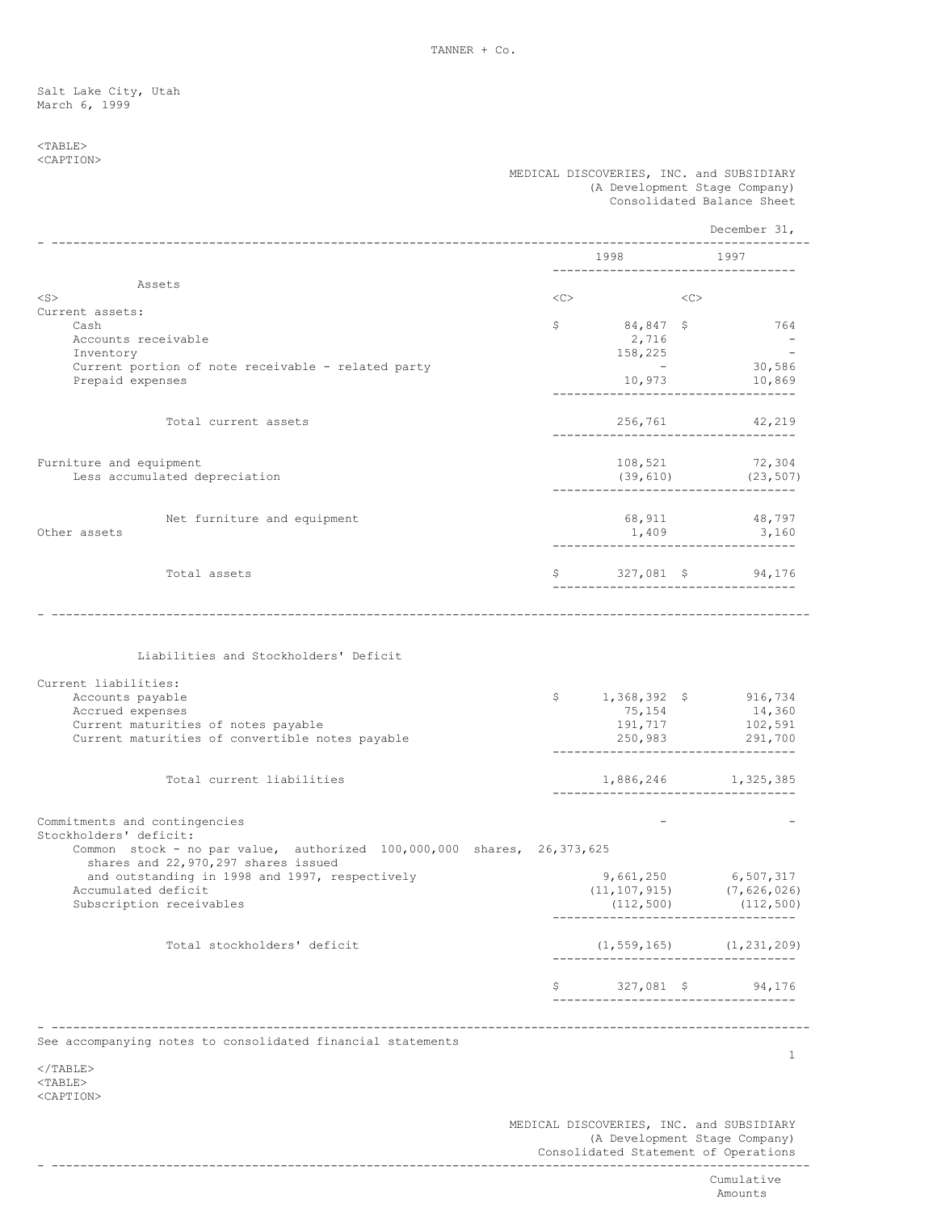# Salt Lake City, Utah March 6, 1999

<TABLE> <CAPTION>

MEDICAL DISCOVERIES, INC. and SUBSIDIARY (A Development Stage Company) Consolidated Balance Sheet

|                                                                                                                                                                                                                        |          |                                                        |    | December 31,                                                                       |
|------------------------------------------------------------------------------------------------------------------------------------------------------------------------------------------------------------------------|----------|--------------------------------------------------------|----|------------------------------------------------------------------------------------|
|                                                                                                                                                                                                                        |          | 1998                                                   |    | 1997<br>-----------------------------------                                        |
| Assets                                                                                                                                                                                                                 |          |                                                        |    |                                                                                    |
| $<$ S $>$<br>Current assets:                                                                                                                                                                                           | $<<$ $>$ |                                                        | << |                                                                                    |
| Cash                                                                                                                                                                                                                   | \$       | 84,847 \$                                              |    | 764                                                                                |
| Accounts receivable                                                                                                                                                                                                    |          | 2,716                                                  |    | $\sim$ $-$                                                                         |
| Inventory                                                                                                                                                                                                              |          | 158,225                                                |    | $\sim 100$<br>30,586                                                               |
| Current portion of note receivable - related party<br>Prepaid expenses                                                                                                                                                 |          | 10,973<br>-----------------------------------          |    | 10,869                                                                             |
|                                                                                                                                                                                                                        |          |                                                        |    |                                                                                    |
| Total current assets                                                                                                                                                                                                   |          | 256,761<br>-----------------------------------         |    | 42,219                                                                             |
| Furniture and equipment                                                                                                                                                                                                |          | 108,521                                                |    | 72,304<br>$(39, 610)$ $(23, 507)$                                                  |
| Less accumulated depreciation                                                                                                                                                                                          |          | -----------------------------------                    |    |                                                                                    |
| Net furniture and equipment                                                                                                                                                                                            |          |                                                        |    | 68, 911 48, 797<br>1, 409 3, 160                                                   |
| Other assets                                                                                                                                                                                                           |          | ----------------------------------                     |    |                                                                                    |
| Total assets                                                                                                                                                                                                           |          | ----------------------------------                     |    | $\frac{1}{2}$ 327,081 \$ 94,176                                                    |
| Accounts payable<br>Accrued expenses<br>Current maturities of notes payable<br>Current maturities of convertible notes payable<br>Total current liabilities<br>Commitments and contingencies<br>Stockholders' deficit: | \$       | 75,154<br>191,717<br>--------------------------------- |    | 1,368,392 \$916,734<br>14,360<br>102,591<br>250,983 291,700<br>1,886,246 1,325,385 |
| Common stock - no par value, authorized 100,000,000 shares, 26,373,625<br>shares and 22,970,297 shares issued                                                                                                          |          |                                                        |    |                                                                                    |
| and outstanding in 1998 and 1997, respectively                                                                                                                                                                         |          |                                                        |    |                                                                                    |
| Accumulated deficit                                                                                                                                                                                                    |          |                                                        |    | 9,661,250 6,507,317<br>(11,107,915) (7,626,026)                                    |
| Subscription receivables                                                                                                                                                                                               |          | (112, 500)<br>------------------------------           |    | (112, 500)                                                                         |
| Total stockholders' deficit                                                                                                                                                                                            |          | ----------------------------                           |    | $(1, 559, 165)$ $(1, 231, 209)$                                                    |
|                                                                                                                                                                                                                        | \$       | $327,081$ \$                                           |    | 94,176<br>------------------------------                                           |
| See accompanying notes to consolidated financial statements                                                                                                                                                            |          |                                                        |    |                                                                                    |
| $<$ /TABLE><br>$<$ TABLE $>$<br><caption></caption>                                                                                                                                                                    |          |                                                        |    | 1                                                                                  |
|                                                                                                                                                                                                                        |          |                                                        |    | MEDICAL DISCOVERIES, INC. and SUBSIDIARY<br>(A Development Stage Company)          |

- ----------------------------------------------------------------------------------------------------------

Cumulative Amounts

Consolidated Statement of Operations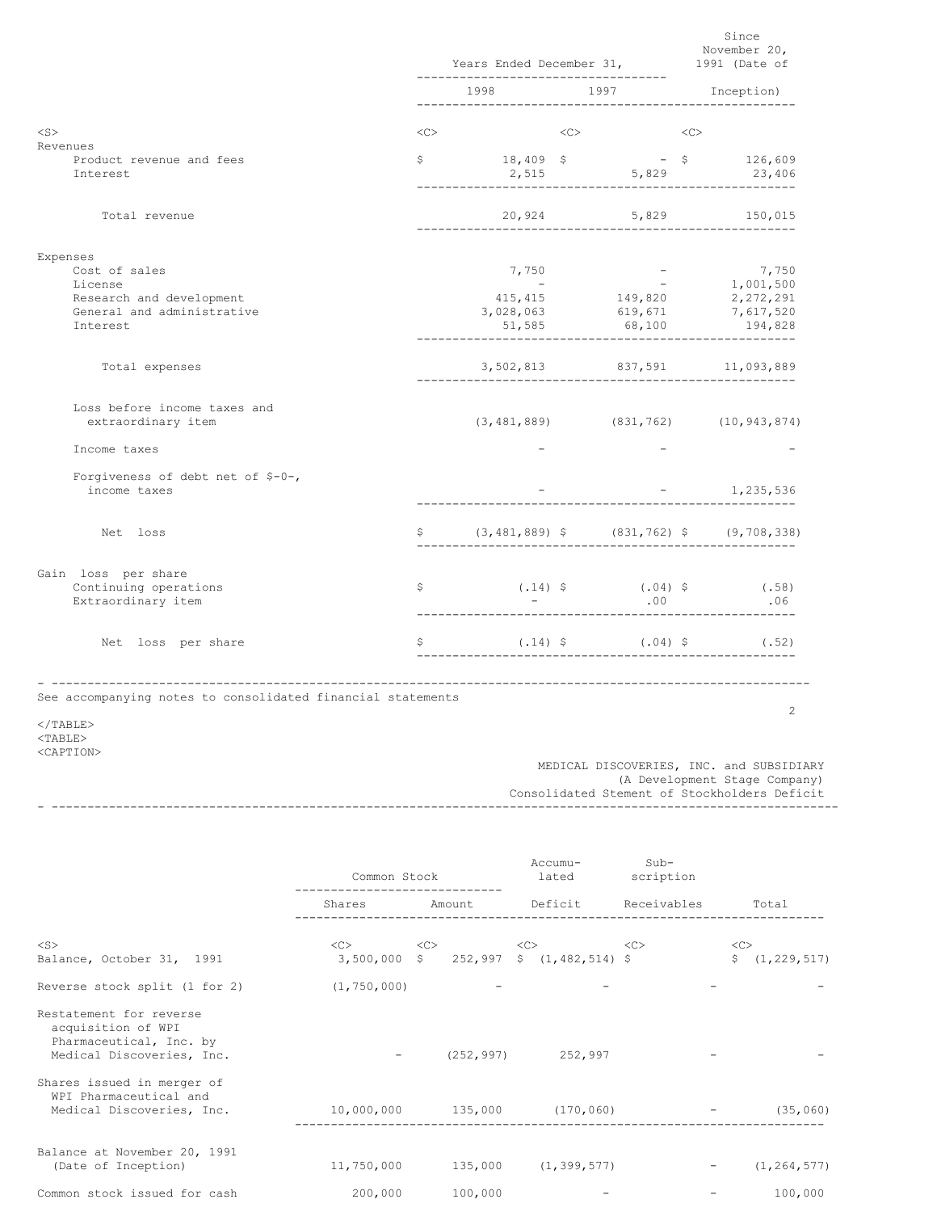| Years Ended December 31, 1991 (Date of<br>------------------------------------- |                                                    |  |  |  |
|---------------------------------------------------------------------------------|----------------------------------------------------|--|--|--|
| 1997                                                                            | Inception)                                         |  |  |  |
| <<                                                                              | <<                                                 |  |  |  |
| $18,409$ \$<br>2,515 5,829<br>----------------------------------                | $-$ \$ 126,609<br>23,406                           |  |  |  |
| 20,924<br>5,829                                                                 | 150,015                                            |  |  |  |
|                                                                                 |                                                    |  |  |  |
| 7,750                                                                           | 7,750                                              |  |  |  |
| $\sim$ $-$                                                                      | 1,001,500                                          |  |  |  |
| 415, 415 149, 820<br>3,028,063<br>619,671                                       | 2,272,291<br>7,617,520                             |  |  |  |
| 68,100<br>51,585                                                                | 194,828                                            |  |  |  |
|                                                                                 | 3,502,813 837,591 11,093,889                       |  |  |  |
|                                                                                 | $(3, 481, 889)$ $(831, 762)$ $(10, 943, 874)$      |  |  |  |
|                                                                                 |                                                    |  |  |  |
|                                                                                 | $-1, 235, 536$                                     |  |  |  |
|                                                                                 | $(3, 481, 889)$ \$ $(831, 762)$ \$ $(9, 708, 338)$ |  |  |  |
| $(.14)$ \$<br>$(.04)$ \$<br>.00                                                 | (.58)<br>.06                                       |  |  |  |
| $(.14)$ \$ $(.14)$                                                              | $(.04)$ \$<br>(.52)                                |  |  |  |
|                                                                                 |                                                    |  |  |  |

 $<$ TABLE $>$ 

| <caption></caption>                          |  |
|----------------------------------------------|--|
| MEDICAL DISCOVERIES, INC. and SUBSIDIARY     |  |
| (A Development Stage Company)                |  |
| Consolidated Stement of Stockholders Deficit |  |
|                                              |  |

|                                                                                                       | Common Stock |                 | Accumu-<br>Sub-<br>lated scription                                                                                        |                       |
|-------------------------------------------------------------------------------------------------------|--------------|-----------------|---------------------------------------------------------------------------------------------------------------------------|-----------------------|
|                                                                                                       |              |                 | Shares <b>Amount</b> Deficit Receivables                                                                                  | Total                 |
| $<$ S $>$<br>Balance, October 31, 1991                                                                |              |                 | $\langle C \rangle$ $\langle C \rangle$ $\langle C \rangle$ $\langle C \rangle$<br>3,500,000 \$ 252,997 \$ (1,482,514) \$ | <<<br>\$(1, 229, 517) |
| Reverse stock split (1 for 2) $(1, 750, 000)$ -                                                       |              |                 |                                                                                                                           |                       |
| Restatement for reverse<br>acquisition of WPI<br>Pharmaceutical, Inc. by<br>Medical Discoveries, Inc. |              |                 | $(252, 997)$ 252,997                                                                                                      |                       |
| Shares issued in merger of<br>WPI Pharmaceutical and<br>Medical Discoveries, Inc.                     |              |                 | 10,000,000 135,000 (170,060)                                                                                              | $-$ (35,060)          |
| Balance at November 20, 1991<br>(Date of Inception)                                                   |              |                 | $11,750,000$ $135,000$ $(1,399,577)$                                                                                      | $ (1, 264, 577)$      |
| Common stock issued for cash                                                                          |              | 200,000 100,000 |                                                                                                                           | 100,000               |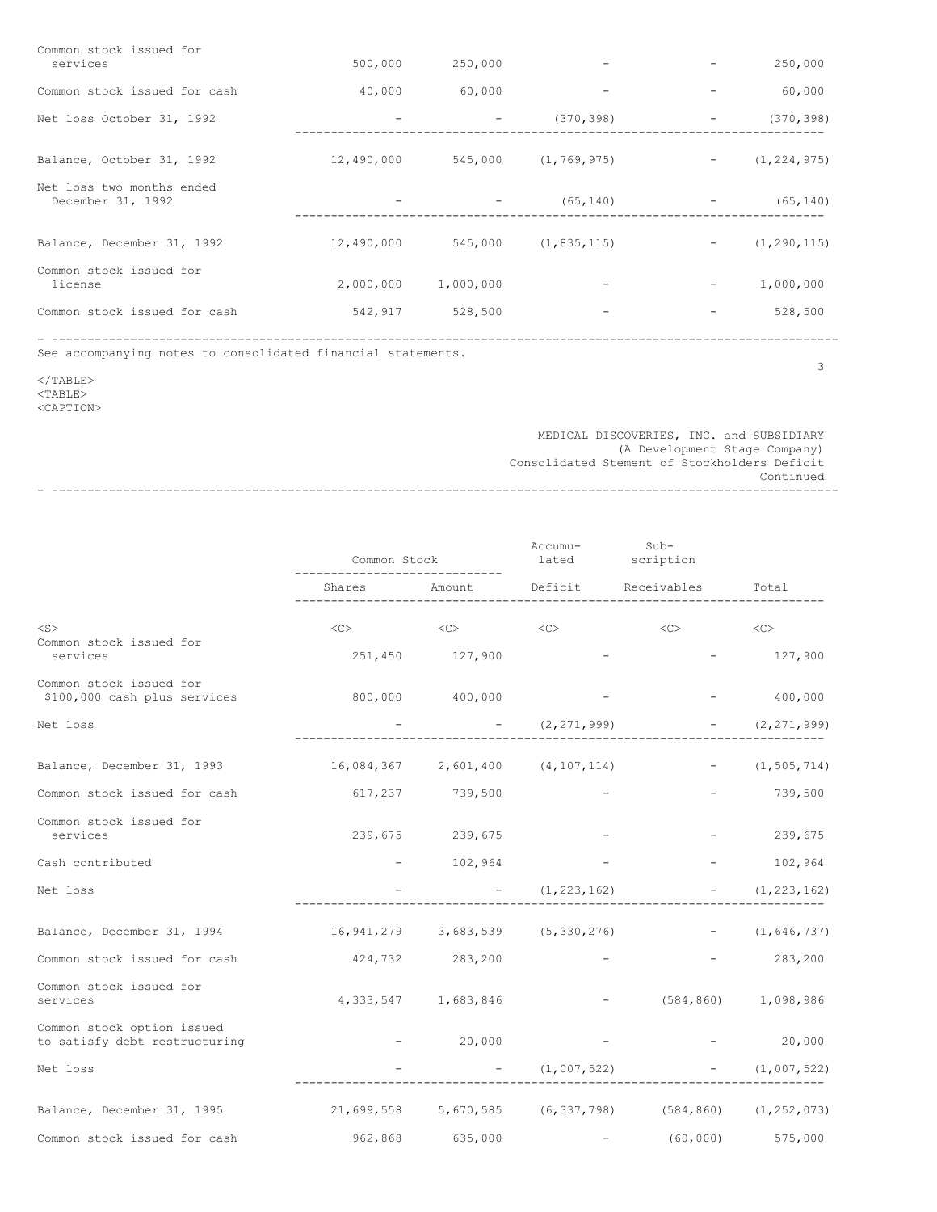| Common stock issued for<br>services                               | 500,000    | 250,000            |               |                                | 250,000       |  |
|-------------------------------------------------------------------|------------|--------------------|---------------|--------------------------------|---------------|--|
| Common stock issued for cash                                      | 40,000     | 60,000             |               |                                | 60,000        |  |
| Net loss October 31, 1992                                         |            |                    | (370, 398)    |                                | (370, 398)    |  |
| Balance, October 31, 1992                                         |            | 12,490,000 545,000 | (1, 769, 975) | <b>Contract Contract State</b> | (1, 224, 975) |  |
| Net loss two months ended<br>December 31, 1992                    |            |                    | (65, 140)     |                                | (65, 140)     |  |
| Balance, December 31, 1992                                        | 12,490,000 | 545,000            | (1, 835, 115) | $\sim$                         | (1, 290, 115) |  |
| Common stock issued for<br>license                                | 2,000,000  | 1,000,000          |               | $\overline{\phantom{m}}$       | 1,000,000     |  |
| Common stock issued for cash                                      | 542,917    | 528,500            |               |                                | 528,500       |  |
| See accompanying notes to consolidated financial statements.<br>3 |            |                    |               |                                |               |  |

 $\langle$ /TABLE $>$ <TABLE> <CAPTION>

MEDICAL DISCOVERIES, INC. and SUBSIDIARY (A Development Stage Company) Consolidated Stement of Stockholders Deficit Continued - --------------------------------------------------------------------------------------------------------------

|                                                                                               | Common Stock    |                                         | Accumu-<br>lated                   | Sub-<br>scription                |                                 |
|-----------------------------------------------------------------------------------------------|-----------------|-----------------------------------------|------------------------------------|----------------------------------|---------------------------------|
|                                                                                               | Shares          |                                         |                                    | Amount Deficit Receivables Total |                                 |
| $<$ S $>$                                                                                     | $<<$ $>$        | $\langle C \rangle$ $\langle C \rangle$ |                                    | <<                               | < <c></c>                       |
| Common stock issued for<br>services                                                           |                 | 251,450 127,900                         |                                    |                                  | <b>All Contracts</b><br>127,900 |
| Common stock issued for<br>\$100,000 cash plus services                                       |                 | 800,000 400,000                         |                                    |                                  | $-400,000$                      |
| Net loss                                                                                      |                 |                                         | $-$ (2,271,999)                    |                                  | $-$ (2,271,999)                 |
| Balance, December 31, 1993                                                                    |                 |                                         | $16,084,367$ 2,601,400 (4,107,114) |                                  | $-$ (1,505,714)                 |
| Common stock issued for cash                                                                  |                 | 617,237 739,500                         |                                    |                                  | 739,500                         |
| Common stock issued for<br>services                                                           |                 | 239,675 239,675                         |                                    |                                  | $-239,675$                      |
| Cash contributed                                                                              |                 | 102,964                                 |                                    |                                  | $-102,964$                      |
| Net loss                                                                                      |                 |                                         | $ (1, 223, 162)$                   |                                  | $-$ (1,223,162)                 |
| Balance, December 31, 1994 16, 941, 279 3, 683, 539 (5, 330, 276) - (1, 646, 737)             |                 |                                         |                                    |                                  |                                 |
| Common stock issued for cash                                                                  |                 | 424,732 283,200                         |                                    |                                  | $-283,200$                      |
| Common stock issued for<br>services                                                           |                 | 4, 333, 547 1, 683, 846                 |                                    | $-$ (584,860) 1,098,986          |                                 |
| Common stock option issued<br>to satisfy debt restructuring                                   |                 | $-20,000$                               |                                    |                                  | $-20,000$                       |
| Net loss                                                                                      |                 |                                         | $-$ (1,007,522)                    |                                  | $-$ (1,007,522)                 |
| Balance, December 31, 1995 1, 21, 699, 558 5, 670, 585 (6, 337, 798) (584, 860) (1, 252, 073) |                 |                                         |                                    |                                  |                                 |
| Common stock issued for cash                                                                  | 962,868 635,000 |                                         |                                    | $-$ (60,000) 575,000             |                                 |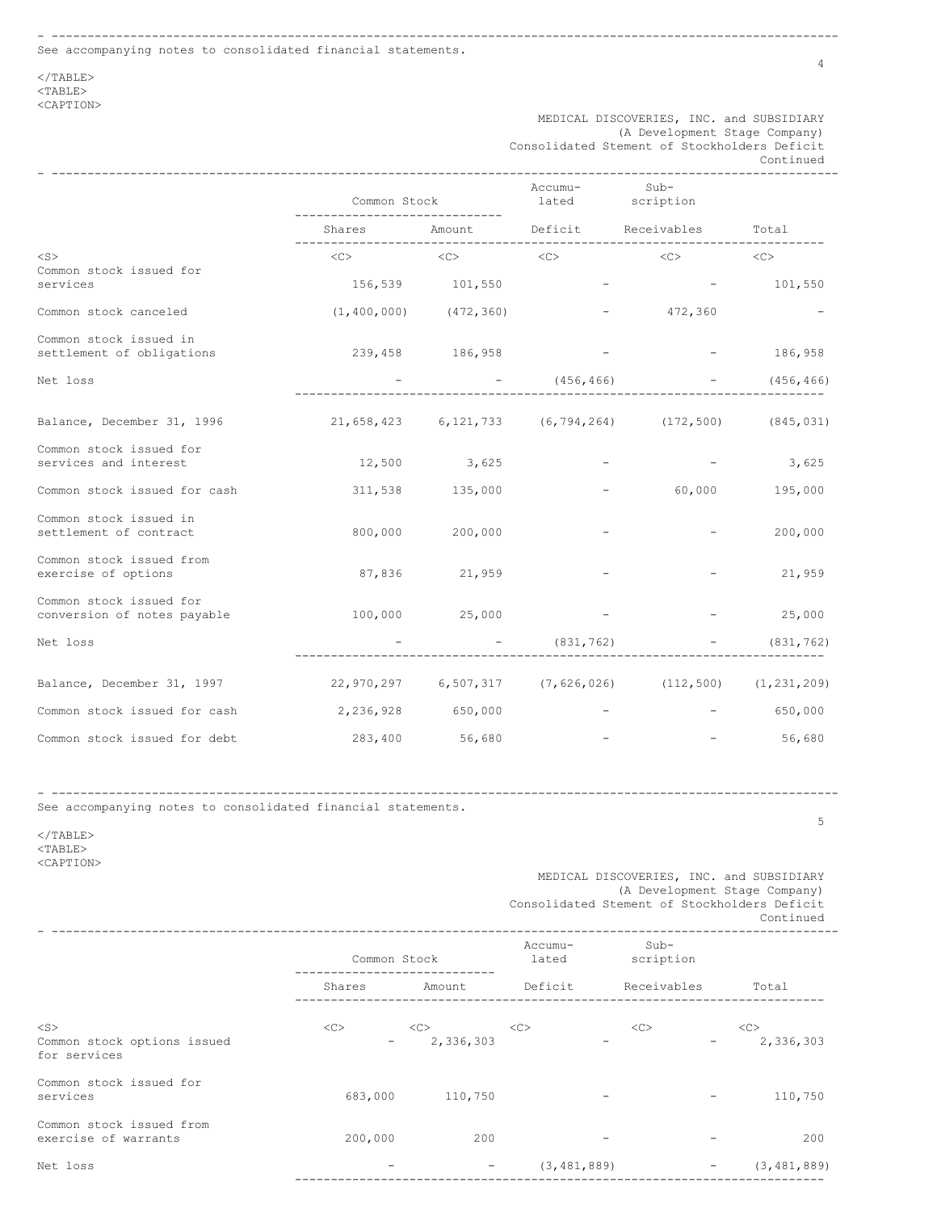|                                                                                               |                                                    |                              |                            | (A Development Stage Company)<br>Consolidated Stement of Stockholders Deficit | Continued             |
|-----------------------------------------------------------------------------------------------|----------------------------------------------------|------------------------------|----------------------------|-------------------------------------------------------------------------------|-----------------------|
|                                                                                               | Common Stock                                       |                              | Accumu-<br>lated scription | $Sub-$                                                                        |                       |
|                                                                                               | Shares                                             | Amount                       |                            | Deficit Receivables Total                                                     |                       |
| $<$ S $>$<br>Common stock issued for<br>services                                              | <<>                                                | $<\infty$<br>156,539 101,550 | < <c></c>                  | $<\infty$                                                                     | < <c><br/>101,550</c> |
| Common stock canceled                                                                         | $(1, 400, 000)$ $(472, 360)$                       |                              |                            | $-472,360$                                                                    |                       |
| Common stock issued in<br>settlement of obligations                                           | 239,458 186,958                                    |                              |                            |                                                                               | 186,958               |
| Net loss                                                                                      |                                                    |                              | (456, 466)                 |                                                                               | (456, 466)            |
| Balance, December 31, 1996                                                                    | $21,658,423$ $6,121,733$ $(6,794,264)$ $(172,500)$ |                              |                            |                                                                               | (845, 031)            |
| Common stock issued for<br>services and interest                                              |                                                    | 12,500 3,625                 |                            |                                                                               | 3,625                 |
| Common stock issued for cash                                                                  |                                                    | 311,538 135,000              |                            | $-60,000$                                                                     | 195,000               |
| Common stock issued in<br>settlement of contract                                              |                                                    | 800,000 200,000              |                            |                                                                               | 200,000               |
| Common stock issued from<br>exercise of options                                               |                                                    | 87,836 21,959                |                            |                                                                               | 21,959                |
| Common stock issued for<br>conversion of notes payable                                        |                                                    | 100,000 25,000               |                            |                                                                               | 25,000                |
| Net loss                                                                                      |                                                    |                              | (831, 762)                 |                                                                               | (831, 762)            |
| Balance, December 31, 1997<br>22,970,297<br>6,507,317<br>(7,626,026)<br>(112,500) (1,231,209) |                                                    |                              |                            |                                                                               |                       |
| Common stock issued for cash                                                                  |                                                    | 2,236,928 650,000            |                            |                                                                               | 650,000               |

- --------------------------------------------------------------------------------------------------------------

See accompanying notes to consolidated financial statements.

5

 $<$ /TABLE $>$ <TABLE> <CAPTION>

|                                                          |              |                          |                  |                     | MEDICAL DISCOVERIES, INC. and SUBSIDIARY<br>(A Development Stage Company)<br>Consolidated Stement of Stockholders Deficit<br>Continued |
|----------------------------------------------------------|--------------|--------------------------|------------------|---------------------|----------------------------------------------------------------------------------------------------------------------------------------|
|                                                          | Common Stock |                          | Accumu-<br>lated | $Sub-$<br>scription |                                                                                                                                        |
|                                                          | Shares       | Amount                   | Deficit          | Receivables         | Total                                                                                                                                  |
| $<$ S $>$<br>Common stock options issued<br>for services | <<           | $<<$ $>$<br>2,336,303    | <<               | <<                  | <<<br>2,336,303                                                                                                                        |
| Common stock issued for<br>services                      | 683,000      | 110,750                  |                  |                     | 110,750                                                                                                                                |
| Common stock issued from<br>exercise of warrants         | 200,000      | 200                      |                  |                     | 200                                                                                                                                    |
| Net loss                                                 |              | $\overline{\phantom{a}}$ | (3, 481, 889)    |                     | (3, 481, 889)<br>$\overline{\phantom{m}}$                                                                                              |

Common stock issued for debt 283,400 56,680 - - 56,680 - 56,680

4

MEDICAL DISCOVERIES, INC. and SUBSIDIARY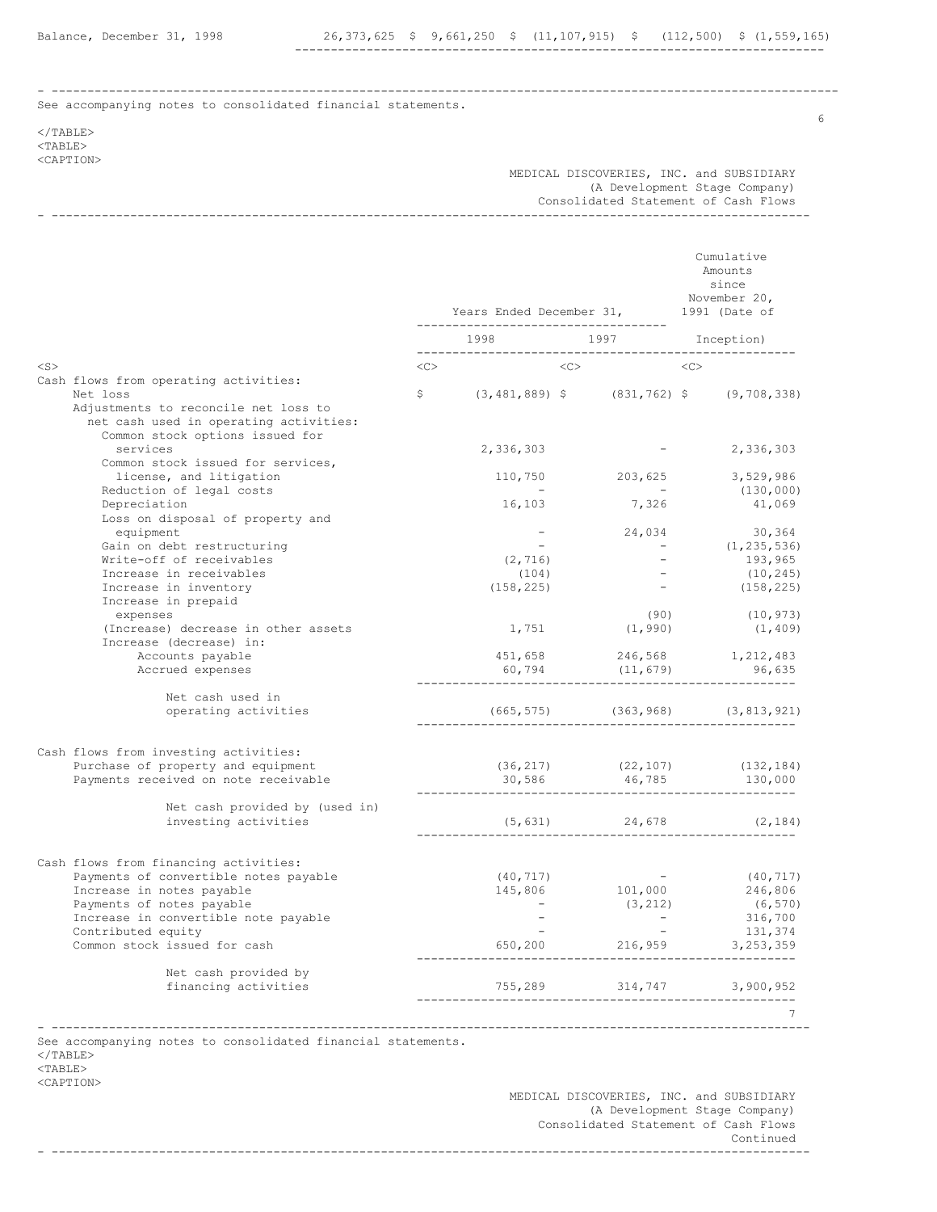See accompanying notes to consolidated financial statements.

 $<$ /TABLE> <TABLE> <CAPTION>

MEDICAL DISCOVERIES, INC. and SUBSIDIARY (A Development Stage Company) Consolidated Statement of Cash Flows

- ----------------------------------------------------------------------------------------------------------

6

| Years Ended December 31,<br>------------------------------------<br>1998<br><<><br>2,336,303<br>110,750<br>16,103<br>$-$<br>(2, 716)<br>(104)<br>(158, 225)<br>1,751 | 1997<br>$\langle C \rangle$<br>203,625<br>$\sim 100$ km s $^{-1}$<br>7,326<br>24,034<br>$\sim$ 100 $\mu$<br>$\sim$ $ \sim$<br>(90) | 1991 (Date of<br>Inception)<br>$<<$ $<$ $<$ $>$<br>$(3, 481, 889)$ \$ $(831, 762)$ \$ $(9, 708, 338)$<br>2,336,303<br>3,529,986<br>(130, 000)<br>41,069<br>30,364<br>(1, 235, 536)<br>193,965<br>(10, 245)<br>(158, 225)<br>(10, 973) |
|----------------------------------------------------------------------------------------------------------------------------------------------------------------------|------------------------------------------------------------------------------------------------------------------------------------|---------------------------------------------------------------------------------------------------------------------------------------------------------------------------------------------------------------------------------------|
|                                                                                                                                                                      |                                                                                                                                    |                                                                                                                                                                                                                                       |
|                                                                                                                                                                      |                                                                                                                                    |                                                                                                                                                                                                                                       |
|                                                                                                                                                                      |                                                                                                                                    |                                                                                                                                                                                                                                       |
|                                                                                                                                                                      |                                                                                                                                    |                                                                                                                                                                                                                                       |
|                                                                                                                                                                      |                                                                                                                                    |                                                                                                                                                                                                                                       |
|                                                                                                                                                                      |                                                                                                                                    |                                                                                                                                                                                                                                       |
|                                                                                                                                                                      |                                                                                                                                    |                                                                                                                                                                                                                                       |
|                                                                                                                                                                      |                                                                                                                                    |                                                                                                                                                                                                                                       |
|                                                                                                                                                                      |                                                                                                                                    |                                                                                                                                                                                                                                       |
|                                                                                                                                                                      | (1, 990)                                                                                                                           | (1, 409)                                                                                                                                                                                                                              |
| 60,794                                                                                                                                                               | (11, 679)                                                                                                                          | 451,658 246,568 1,212,483<br>96,635                                                                                                                                                                                                   |
|                                                                                                                                                                      |                                                                                                                                    |                                                                                                                                                                                                                                       |
| 30,586                                                                                                                                                               | 46,785                                                                                                                             |                                                                                                                                                                                                                                       |
|                                                                                                                                                                      |                                                                                                                                    |                                                                                                                                                                                                                                       |
| (40, 717)                                                                                                                                                            | and the company                                                                                                                    | (40, 717)<br>246,806                                                                                                                                                                                                                  |
|                                                                                                                                                                      | (3, 212)                                                                                                                           | (6, 570)<br>316,700<br>131,374                                                                                                                                                                                                        |
|                                                                                                                                                                      |                                                                                                                                    | 3,253,359                                                                                                                                                                                                                             |
|                                                                                                                                                                      | 314,747                                                                                                                            | 3,900,952                                                                                                                                                                                                                             |
|                                                                                                                                                                      |                                                                                                                                    |                                                                                                                                                                                                                                       |
|                                                                                                                                                                      | 145,806<br>See accompanying notes to consolidated financial statements.                                                            | $(665, 575)$ $(363, 968)$ $(3, 813, 921)$<br>$(36, 217)$ $(22, 107)$ $(132, 184)$<br>$(5, 631)$ 24,678 (2,184)<br>101,000<br>650,200 216,959<br>755,289                                                                               |

- --------------------------------------------------------------------------------------------------------------

MEDICAL DISCOVERIES, INC. and SUBSIDIARY (A Development Stage Company) Consolidated Statement of Cash Flows Continued

- ----------------------------------------------------------------------------------------------------------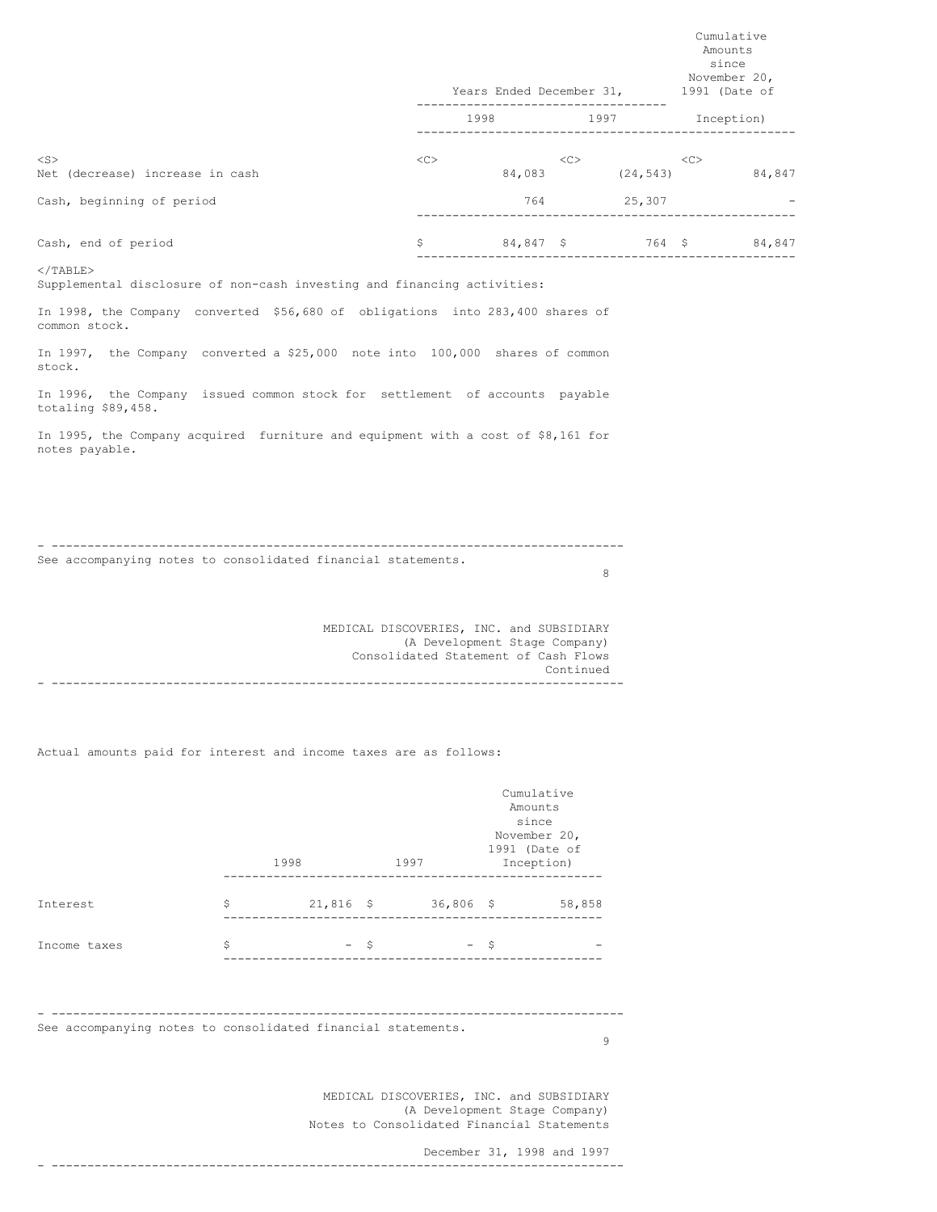|                                                                                                    |                                                          |           |              | Years Ended December 31,                                                    |                                            | Cumulative<br>Amounts<br>since<br>November 20,<br>1991 (Date of |        |
|----------------------------------------------------------------------------------------------------|----------------------------------------------------------|-----------|--------------|-----------------------------------------------------------------------------|--------------------------------------------|-----------------------------------------------------------------|--------|
|                                                                                                    |                                                          |           |              | ------------------------------------<br>1998                                | 1997                                       | Inception)                                                      |        |
|                                                                                                    |                                                          |           |              |                                                                             |                                            |                                                                 |        |
| $<$ S $>$<br>Net (decrease) increase in cash                                                       |                                                          |           | <<           |                                                                             | < <c><br/><math>84,083</math> (24,543)</c> | <<                                                              | 84,847 |
| Cash, beginning of period                                                                          |                                                          |           |              |                                                                             | 764 25,307                                 |                                                                 |        |
| Cash, end of period                                                                                |                                                          |           | $\mathsf{S}$ | $84,847$ \$ 764 \$ 84,847                                                   | -----------------                          |                                                                 |        |
| $<$ /TABLE><br>Supplemental disclosure of non-cash investing and financing activities:             |                                                          |           |              |                                                                             |                                            |                                                                 |        |
| In 1998, the Company converted \$56,680 of obligations into 283,400 shares of<br>common stock.     |                                                          |           |              |                                                                             |                                            |                                                                 |        |
| In 1997, the Company converted a \$25,000 note into 100,000 shares of common<br>stock.             |                                                          |           |              |                                                                             |                                            |                                                                 |        |
| In 1996, the Company issued common stock for settlement of accounts payable<br>totaling \$89,458.  |                                                          |           |              |                                                                             |                                            |                                                                 |        |
| In 1995, the Company acquired furniture and equipment with a cost of \$8,161 for<br>notes payable. |                                                          |           |              |                                                                             |                                            |                                                                 |        |
|                                                                                                    |                                                          |           |              |                                                                             |                                            |                                                                 |        |
|                                                                                                    |                                                          |           |              |                                                                             |                                            |                                                                 |        |
| See accompanying notes to consolidated financial statements.                                       |                                                          |           |              |                                                                             | 8                                          |                                                                 |        |
|                                                                                                    |                                                          |           |              |                                                                             |                                            |                                                                 |        |
|                                                                                                    |                                                          |           |              | MEDICAL DISCOVERIES, INC. and SUBSIDIARY                                    |                                            |                                                                 |        |
|                                                                                                    |                                                          |           |              | (A Development Stage Company)<br>Consolidated Statement of Cash Flows       | Continued                                  |                                                                 |        |
|                                                                                                    |                                                          |           |              |                                                                             |                                            |                                                                 |        |
| Actual amounts paid for interest and income taxes are as follows:                                  |                                                          |           |              |                                                                             |                                            |                                                                 |        |
|                                                                                                    |                                                          |           |              |                                                                             |                                            |                                                                 |        |
|                                                                                                    |                                                          |           |              | Cumulative<br>Amounts                                                       |                                            |                                                                 |        |
|                                                                                                    |                                                          |           |              | since<br>November 20,                                                       |                                            |                                                                 |        |
|                                                                                                    |                                                          | 1998 1997 |              | 1991 (Date of<br>Inception)                                                 |                                            |                                                                 |        |
| Interest                                                                                           | \$                                                       |           |              | $21,816$ \$ 36,806 \$ 58,858                                                |                                            |                                                                 |        |
| Income taxes                                                                                       | $\begin{array}{ccc} \xi & - & \xi & - & \xi \end{array}$ |           |              |                                                                             | and the contract of the contract of        |                                                                 |        |
|                                                                                                    |                                                          |           |              |                                                                             |                                            |                                                                 |        |
|                                                                                                    |                                                          |           |              |                                                                             |                                            |                                                                 |        |
| See accompanying notes to consolidated financial statements.                                       |                                                          |           |              |                                                                             | 9                                          |                                                                 |        |
|                                                                                                    |                                                          |           |              | MEDICAL DISCOVERIES, INC. and SUBSIDIARY                                    |                                            |                                                                 |        |
|                                                                                                    |                                                          |           |              | (A Development Stage Company)<br>Notes to Consolidated Financial Statements |                                            |                                                                 |        |
|                                                                                                    |                                                          |           |              | December 31, 1998 and 1997                                                  |                                            |                                                                 |        |

- --------------------------------------------------------------------------------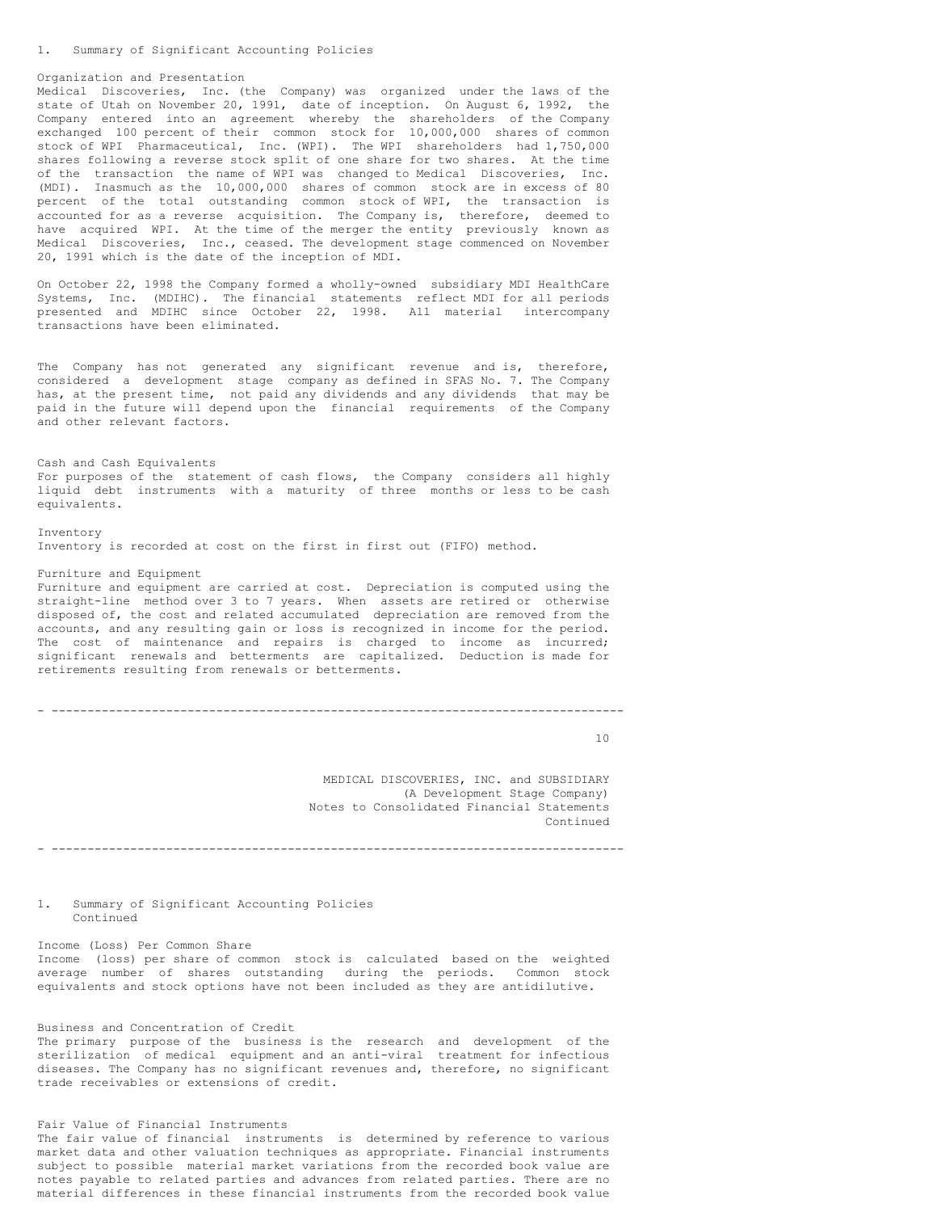#### Organization and Presentation

Medical Discoveries, Inc. (the Company) was organized under the laws of the state of Utah on November 20, 1991, date of inception. On August 6, 1992, the Company entered into an agreement whereby the shareholders of the Company exchanged 100 percent of their common stock for 10,000,000 shares of common stock of WPI Pharmaceutical, Inc. (WPI). The WPI shareholders had 1,750,000 shares following a reverse stock split of one share for two shares. At the time of the transaction the name of WPI was changed to Medical Discoveries, Inc. (MDI). Inasmuch as the 10,000,000 shares of common stock are in excess of 80 percent of the total outstanding common stock of WPI, the transaction is accounted for as a reverse acquisition. The Company is, therefore, deemed to have acquired WPI. At the time of the merger the entity previously known as Medical Discoveries, Inc., ceased. The development stage commenced on November 20, 1991 which is the date of the inception of MDI.

On October 22, 1998 the Company formed a wholly-owned subsidiary MDI HealthCare Systems, Inc. (MDIHC). The financial statements reflect MDI for all periods presented and MDIHC since October 22, 1998. All material intercompany transactions have been eliminated.

The Company has not generated any significant revenue and is, therefore, considered a development stage company as defined in SFAS No. 7. The Company has, at the present time, not paid any dividends and any dividends that may be paid in the future will depend upon the financial requirements of the Company and other relevant factors.

Cash and Cash Equivalents For purposes of the statement of cash flows, the Company considers all highly liquid debt instruments with a maturity of three months or less to be cash equivalents.

Inventory Inventory is recorded at cost on the first in first out (FIFO) method.

#### Furniture and Equipment

Furniture and equipment are carried at cost. Depreciation is computed using the straight-line method over 3 to 7 years. When assets are retired or otherwise disposed of, the cost and related accumulated depreciation are removed from the accounts, and any resulting gain or loss is recognized in income for the period. The cost of maintenance and repairs is charged to income as incurred; significant renewals and betterments are capitalized. Deduction is made for retirements resulting from renewals or betterments.

# - --------------------------------------------------------------------------------

10

MEDICAL DISCOVERIES, INC. and SUBSIDIARY (A Development Stage Company) Notes to Consolidated Financial Statements Continued

1. Summary of Significant Accounting Policies Continued

Income (Loss) Per Common Share Income (loss) per share of common stock is calculated based on the weighted average number of shares outstanding during the periods. Common stock equivalents and stock options have not been included as they are antidilutive.

- --------------------------------------------------------------------------------

Business and Concentration of Credit

The primary purpose of the business is the research and development of the sterilization of medical equipment and an anti-viral treatment for infectious diseases. The Company has no significant revenues and, therefore, no significant trade receivables or extensions of credit.

# Fair Value of Financial Instruments

The fair value of financial instruments is determined by reference to various market data and other valuation techniques as appropriate. Financial instruments subject to possible material market variations from the recorded book value are notes payable to related parties and advances from related parties. There are no material differences in these financial instruments from the recorded book value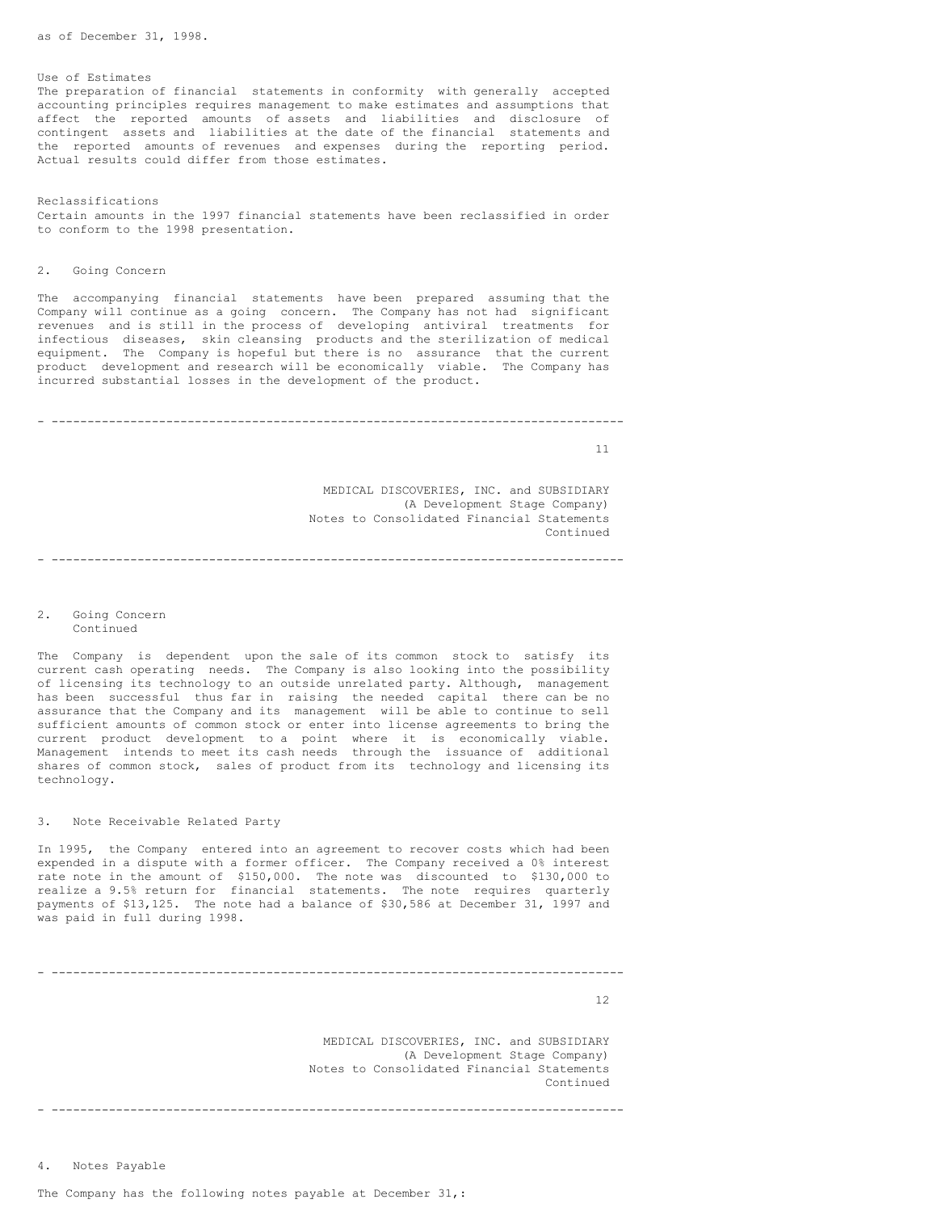# Use of Estimates

The preparation of financial statements in conformity with generally accepted accounting principles requires management to make estimates and assumptions that affect the reported amounts of assets and liabilities and disclosure of contingent assets and liabilities at the date of the financial statements and the reported amounts of revenues and expenses during the reporting period. Actual results could differ from those estimates.

Reclassifications Certain amounts in the 1997 financial statements have been reclassified in order to conform to the 1998 presentation.

#### 2. Going Concern

The accompanying financial statements have been prepared assuming that the Company will continue as a going concern. The Company has not had significant revenues and is still in the process of developing antiviral treatments for infectious diseases, skin cleansing products and the sterilization of medical equipment. The Company is hopeful but there is no assurance that the current product development and research will be economically viable. The Company has incurred substantial losses in the development of the product.

- --------------------------------------------------------------------------------

- --------------------------------------------------------------------------------

11

MEDICAL DISCOVERIES, INC. and SUBSIDIARY (A Development Stage Company) Notes to Consolidated Financial Statements Continued

## 2. Going Concern Continued

The Company is dependent upon the sale of its common stock to satisfy its current cash operating needs. The Company is also looking into the possibility of licensing its technology to an outside unrelated party. Although, management has been successful thus far in raising the needed capital there can be no assurance that the Company and its management will be able to continue to sell sufficient amounts of common stock or enter into license agreements to bring the current product development to a point where it is economically viable. Management intends to meet its cash needs through the issuance of additional shares of common stock, sales of product from its technology and licensing its technology.

#### 3. Note Receivable Related Party

In 1995, the Company entered into an agreement to recover costs which had been expended in a dispute with a former officer. The Company received a 0% interest rate note in the amount of \$150,000. The note was discounted to \$130,000 to realize a 9.5% return for financial statements. The note requires quarterly payments of \$13,125. The note had a balance of \$30,586 at December 31, 1997 and was paid in full during 1998.

- -------------------------------------------------------------------------------- 12 MEDICAL DISCOVERIES, INC. and SUBSIDIARY (A Development Stage Company) Notes to Consolidated Financial Statements Continued - --------------------------------------------------------------------------------

4. Notes Payable

The Company has the following notes payable at December 31,: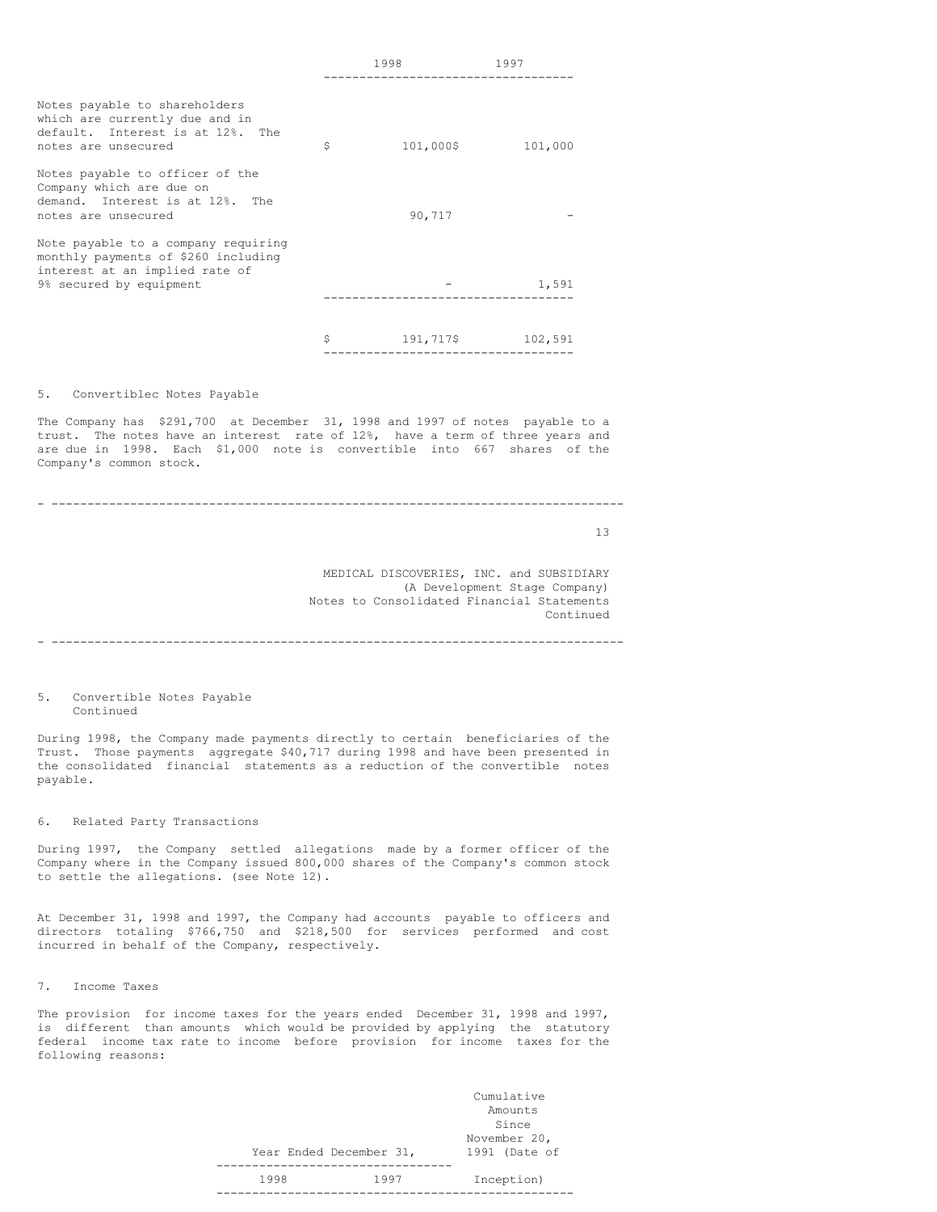|                                                                                                                                         | 1998            | 1997              |
|-----------------------------------------------------------------------------------------------------------------------------------------|-----------------|-------------------|
| Notes payable to shareholders<br>which are currently due and in<br>default. Interest is at 12%. The<br>notes are unsecured              | \$<br>101,000\$ | 101,000           |
| Notes payable to officer of the<br>Company which are due on<br>demand. Interest is at 12%. The<br>notes are unsecured                   | 90,717          |                   |
| Note payable to a company requiring<br>monthly payments of \$260 including<br>interest at an implied rate of<br>9% secured by equipment |                 | 1,591             |
|                                                                                                                                         | \$              | 191,717\$ 102,591 |

### 5. Convertiblec Notes Payable

The Company has \$291,700 at December 31, 1998 and 1997 of notes payable to a trust. The notes have an interest rate of 12%, have a term of three years and are due in 1998. Each \$1,000 note is convertible into 667 shares of the Company's common stock.

- --------------------------------------------------------------------------------

13

MEDICAL DISCOVERIES, INC. and SUBSIDIARY (A Development Stage Company) Notes to Consolidated Financial Statements Continued

5. Convertible Notes Payable Continued

During 1998, the Company made payments directly to certain beneficiaries of the Trust. Those payments aggregate \$40,717 during 1998 and have been presented in the consolidated financial statements as a reduction of the convertible notes payable.

- --------------------------------------------------------------------------------

# 6. Related Party Transactions

During 1997, the Company settled allegations made by a former officer of the Company where in the Company issued 800,000 shares of the Company's common stock to settle the allegations. (see Note 12).

At December 31, 1998 and 1997, the Company had accounts payable to officers and directors totaling \$766,750 and \$218,500 for services performed and cost incurred in behalf of the Company, respectively.

# 7. Income Taxes

The provision for income taxes for the years ended December 31, 1998 and 1997, is different than amounts which would be provided by applying the statutory federal income tax rate to income before provision for income taxes for the following reasons:

> Cumulative Amounts Since November 20,<br>1991 (Date of Year Ended December 31, --------------------------------- 1998 1997 Inception) --------------------------------------------------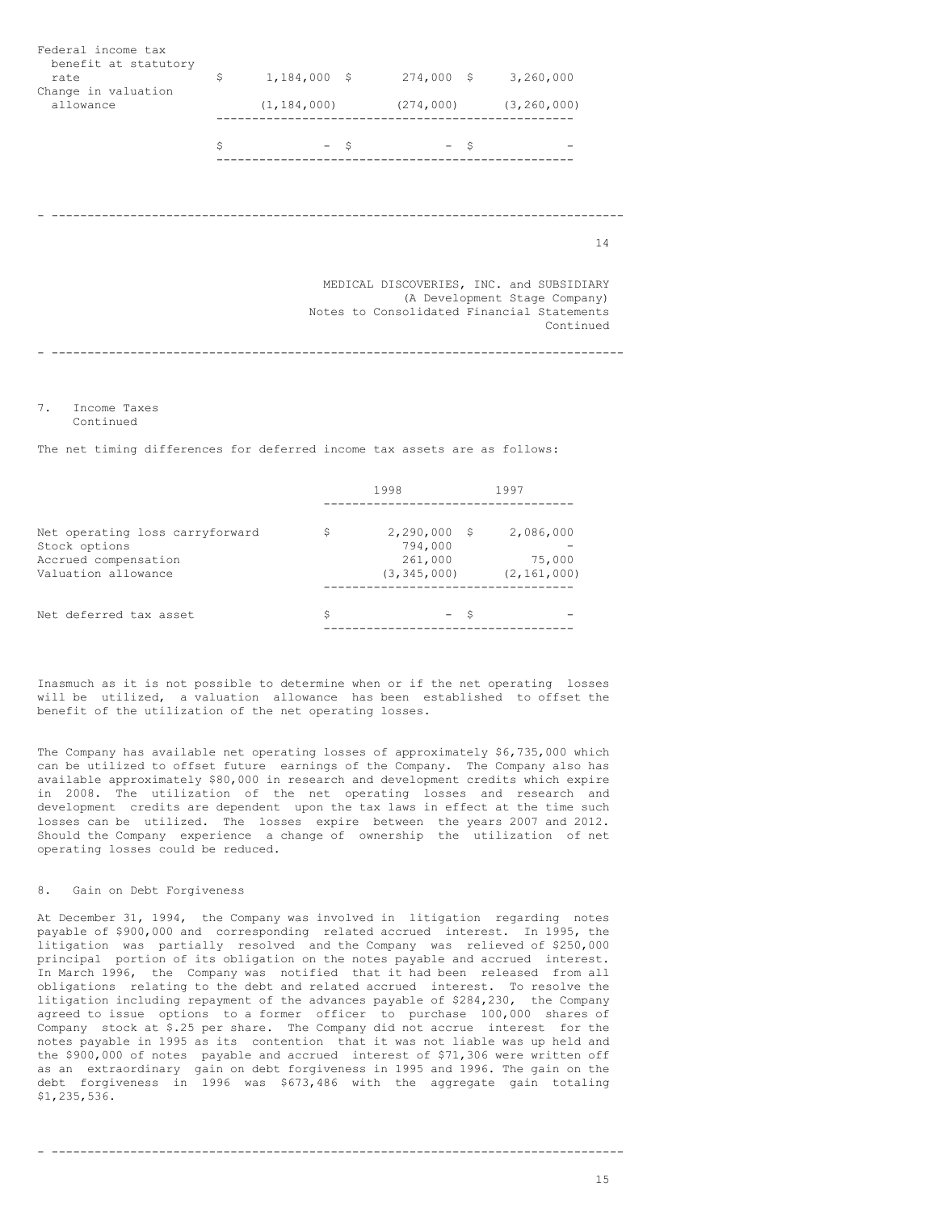| Federal income tax<br>benefit at statutory<br>rate<br>Change in valuation | S  |        | 1,184,000 \$ 274,000 \$ 3,260,000                                                      |                               |           |
|---------------------------------------------------------------------------|----|--------|----------------------------------------------------------------------------------------|-------------------------------|-----------|
| allowance                                                                 |    |        | $(1, 184, 000)$ $(274, 000)$ $(3, 260, 000)$                                           |                               |           |
|                                                                           | \$ | $-$ \$ | - \$                                                                                   |                               |           |
|                                                                           |    |        |                                                                                        |                               |           |
|                                                                           |    |        |                                                                                        |                               |           |
|                                                                           |    |        |                                                                                        |                               | 14        |
|                                                                           |    |        | MEDICAL DISCOVERIES, INC. and SUBSIDIARY<br>Notes to Consolidated Financial Statements | (A Development Stage Company) | Continued |

7. Income Taxes Continued

The net timing differences for deferred income tax assets are as follows:

|                                                                                                 |   | 1998                                                  | 1997                                 |
|-------------------------------------------------------------------------------------------------|---|-------------------------------------------------------|--------------------------------------|
| Net operating loss carryforward<br>Stock options<br>Accrued compensation<br>Valuation allowance | S | $2,290,000$ \$<br>794,000<br>261,000<br>(3, 345, 000) | 2,086,000<br>75,000<br>(2, 161, 000) |
| Net deferred tax asset                                                                          | S | – S                                                   |                                      |

Inasmuch as it is not possible to determine when or if the net operating losses will be utilized, a valuation allowance has been established to offset the benefit of the utilization of the net operating losses.

The Company has available net operating losses of approximately \$6,735,000 which can be utilized to offset future earnings of the Company. The Company also has available approximately \$80,000 in research and development credits which expire in 2008. The utilization of the net operating losses and research and development credits are dependent upon the tax laws in effect at the time such losses can be utilized. The losses expire between the years 2007 and 2012. Should the Company experience a change of ownership the utilization of net operating losses could be reduced.

# 8. Gain on Debt Forgiveness

At December 31, 1994, the Company was involved in litigation regarding notes payable of \$900,000 and corresponding related accrued interest. In 1995, the litigation was partially resolved and the Company was relieved of \$250,000 principal portion of its obligation on the notes payable and accrued interest. In March 1996, the Company was notified that it had been released from all obligations relating to the debt and related accrued interest. To resolve the litigation including repayment of the advances payable of \$284,230, the Company agreed to issue options to a former officer to purchase 100,000 shares of Company stock at \$.25 per share. The Company did not accrue interest for the notes payable in 1995 as its contention that it was not liable was up held and the \$900,000 of notes payable and accrued interest of \$71,306 were written off as an extraordinary gain on debt forgiveness in 1995 and 1996. The gain on the debt forgiveness in 1996 was \$673,486 with the aggregate gain totaling \$1,235,536.

- --------------------------------------------------------------------------------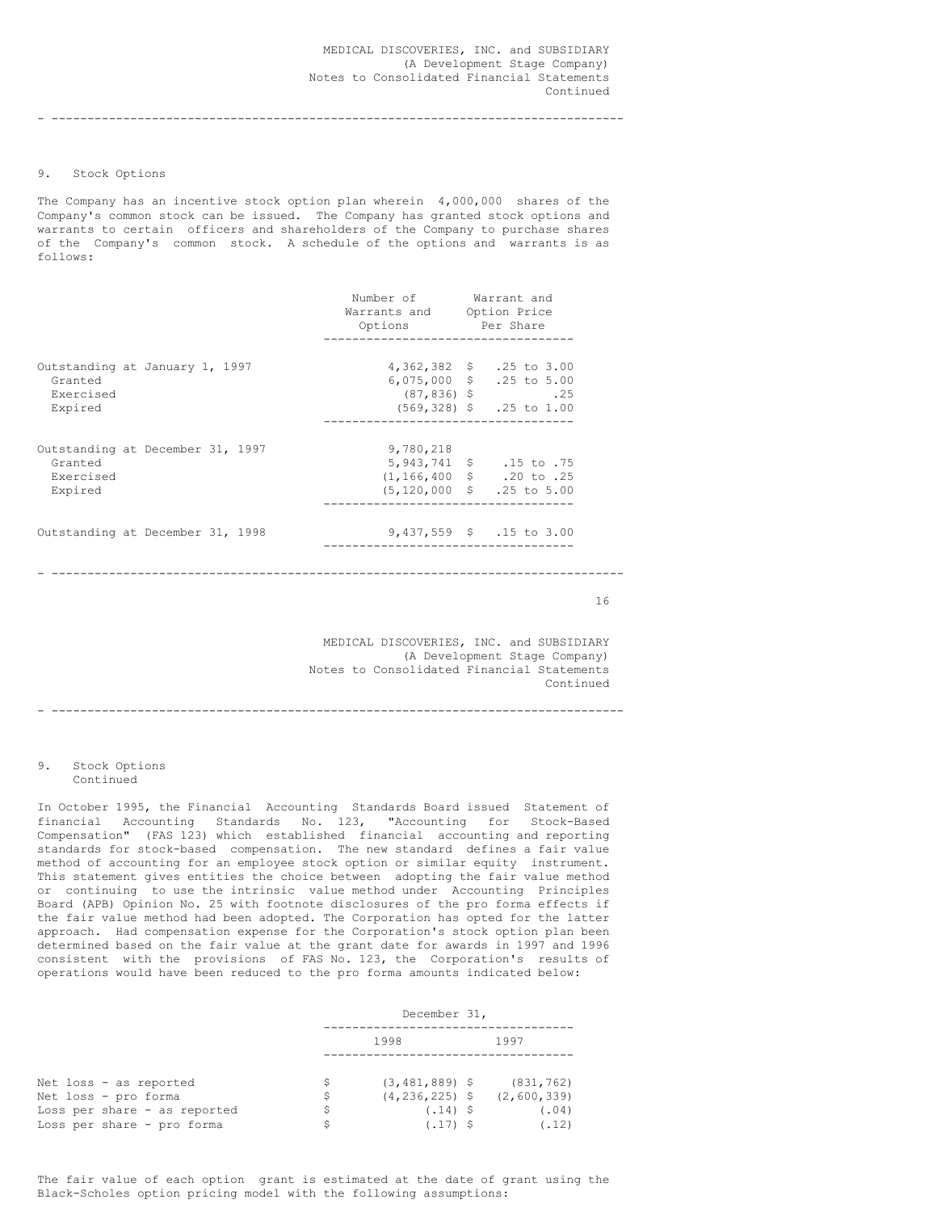# 9. Stock Options

The Company has an incentive stock option plan wherein 4,000,000 shares of the Company's common stock can be issued. The Company has granted stock options and warrants to certain officers and shareholders of the Company to purchase shares of the Company's common stock. A schedule of the options and warrants is as follows:

- --------------------------------------------------------------------------------

|                                                                     | Number of Warrant and<br>Warrants and Option Price<br>Options Per Share | ---------------------------------                                                                         |  |
|---------------------------------------------------------------------|-------------------------------------------------------------------------|-----------------------------------------------------------------------------------------------------------|--|
| Outstanding at January 1, 1997<br>Granted<br>Exercised<br>Expired   |                                                                         | 4,362,382 \$ .25 to 3.00<br>6,075,000 \$ .25 to 5.00<br>$(87, 836)$ \$ .25<br>$(569, 328)$ \$ .25 to 1.00 |  |
| Outstanding at December 31, 1997<br>Granted<br>Exercised<br>Expired | 9,780,218                                                               | 5,943,741 \$ .15 to .75<br>$(1, 166, 400 \t5 \t.20 \t6.25$                                                |  |
| Outstanding at December 31, 1998                                    |                                                                         | $9,437,559$ \$ .15 to 3.00                                                                                |  |
|                                                                     |                                                                         |                                                                                                           |  |

MEDICAL DISCOVERIES, INC. and SUBSIDIARY (A Development Stage Company) Notes to Consolidated Financial Statements

16

Continued

- --------------------------------------------------------------------------------

#### 9. Stock Options Continued

In October 1995, the Financial Accounting Standards Board issued Statement of financial Accounting Standards No. 123, "Accounting for Stock-Based Compensation" (FAS 123) which established financial accounting and reporting standards for stock-based compensation. The new standard defines a fair value method of accounting for an employee stock option or similar equity instrument. This statement gives entities the choice between adopting the fair value method or continuing to use the intrinsic value method under Accounting Principles Board (APB) Opinion No. 25 with footnote disclosures of the pro forma effects if the fair value method had been adopted. The Corporation has opted for the latter approach. Had compensation expense for the Corporation's stock option plan been determined based on the fair value at the grant date for awards in 1997 and 1996 consistent with the provisions of FAS No. 123, the Corporation's results of operations would have been reduced to the pro forma amounts indicated below:

|                              | December 31, |                    |  |                                    |
|------------------------------|--------------|--------------------|--|------------------------------------|
|                              |              | 1998               |  | 1997                               |
| Net loss - as reported       | S            | $(3, 481, 889)$ \$ |  | (831, 762)                         |
| Net loss - pro forma         | S            |                    |  | $(4, 236, 225)$ \$ $(2, 600, 339)$ |
| Loss per share - as reported | \$           | $(.14)$ \$         |  | (.04)                              |
| Loss per share - pro forma   | S            | $(.17)$ \$         |  | (.12)                              |

The fair value of each option grant is estimated at the date of grant using the Black-Scholes option pricing model with the following assumptions: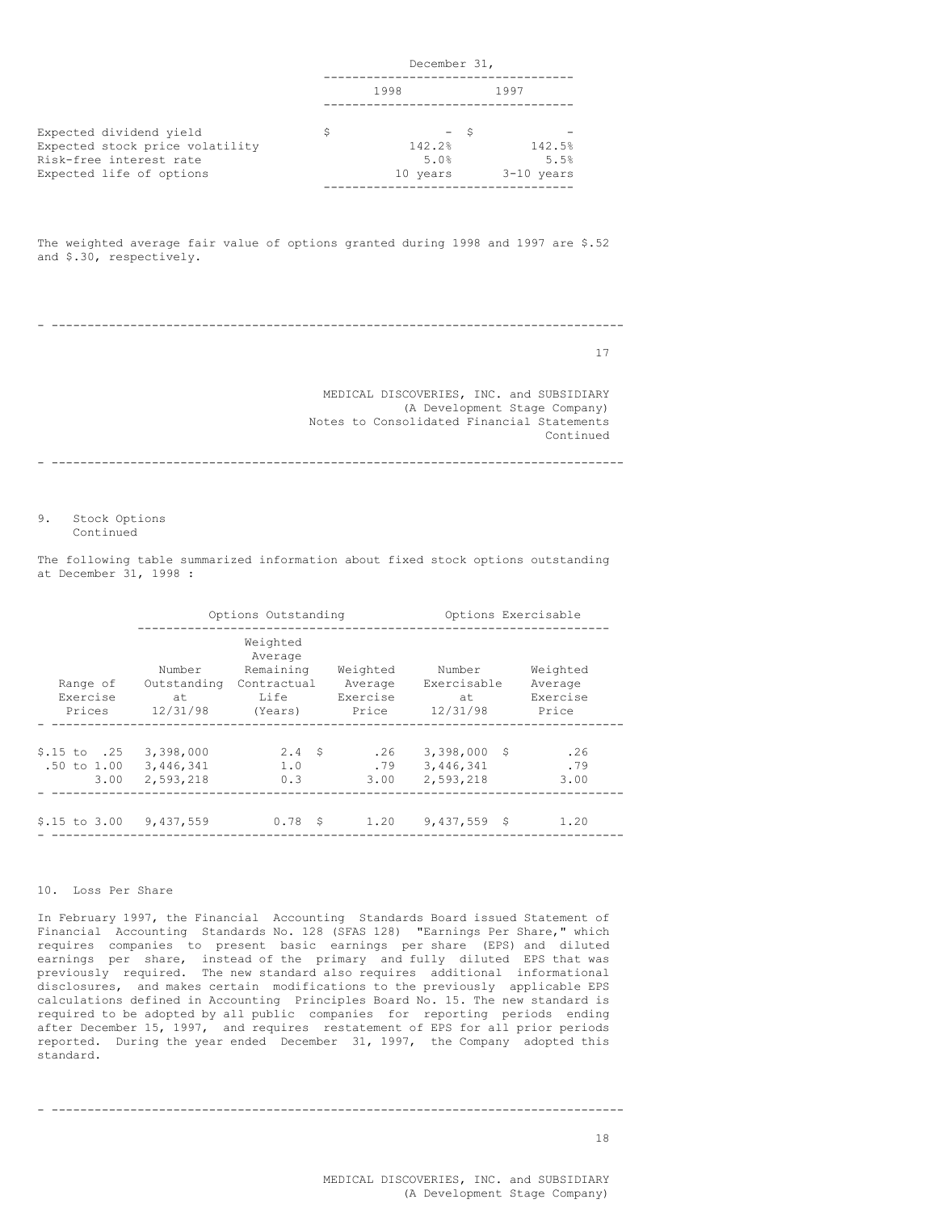|                                                                                                                   | December 31, |                              |   |                              |
|-------------------------------------------------------------------------------------------------------------------|--------------|------------------------------|---|------------------------------|
|                                                                                                                   |              | 1998                         |   | 1997                         |
| Expected dividend yield<br>Expected stock price volatility<br>Risk-free interest rate<br>Expected life of options | \$           | 142.2<br>5.0%<br>vears<br>10 | S | 142.5%<br>5.5%<br>3-10 years |
|                                                                                                                   |              |                              |   |                              |

The weighted average fair value of options granted during 1998 and 1997 are \$.52 and \$.30, respectively.

- --------------------------------------------------------------------------------

17

MEDICAL DISCOVERIES, INC. and SUBSIDIARY (A Development Stage Company) Notes to Consolidated Financial Statements Continued

# 9. Stock Options Continued

The following table summarized information about fixed stock options outstanding at December 31, 1998 :

- --------------------------------------------------------------------------------

|                                                   |                                         | Options Outstanding                                                | Options Exercisable                      |                                            |                                          |
|---------------------------------------------------|-----------------------------------------|--------------------------------------------------------------------|------------------------------------------|--------------------------------------------|------------------------------------------|
| Range of<br>Exercise<br>Prices                    | Number<br>Outstanding<br>at<br>12/31/98 | Weighted<br>Average<br>Remaining<br>Contractual<br>Life<br>(Years) | Weighted<br>Average<br>Exercise<br>Price | Number<br>Exercisable<br>at.<br>12/31/98   | Weighted<br>Average<br>Exercise<br>Price |
| $$.15$ to $.25$<br>$.50 \text{ to } 1.00$<br>3.00 | 3,398,000<br>3,446,341<br>2,593,218     | 2.4 S<br>1.0<br>0.3                                                | .26<br>.79<br>3.00                       | 3,398,000<br>- S<br>3.446.341<br>2,593,218 | .26<br>.79<br>3.00                       |
| $$.15$ to $3.00$                                  | 9.437.559                               | 0.78S                                                              | 1.20                                     | $9,437,559$ \$                             | 1.20                                     |

# 10. Loss Per Share

In February 1997, the Financial Accounting Standards Board issued Statement of Financial Accounting Standards No. 128 (SFAS 128) "Earnings Per Share," which requires companies to present basic earnings per share (EPS) and diluted earnings per share, instead of the primary and fully diluted EPS that was previously required. The new standard also requires additional informational disclosures, and makes certain modifications to the previously applicable EPS calculations defined in Accounting Principles Board No. 15. The new standard is required to be adopted by all public companies for reporting periods ending after December 15, 1997, and requires restatement of EPS for all prior periods reported. During the year ended December 31, 1997, the Company adopted this standard.

- --------------------------------------------------------------------------------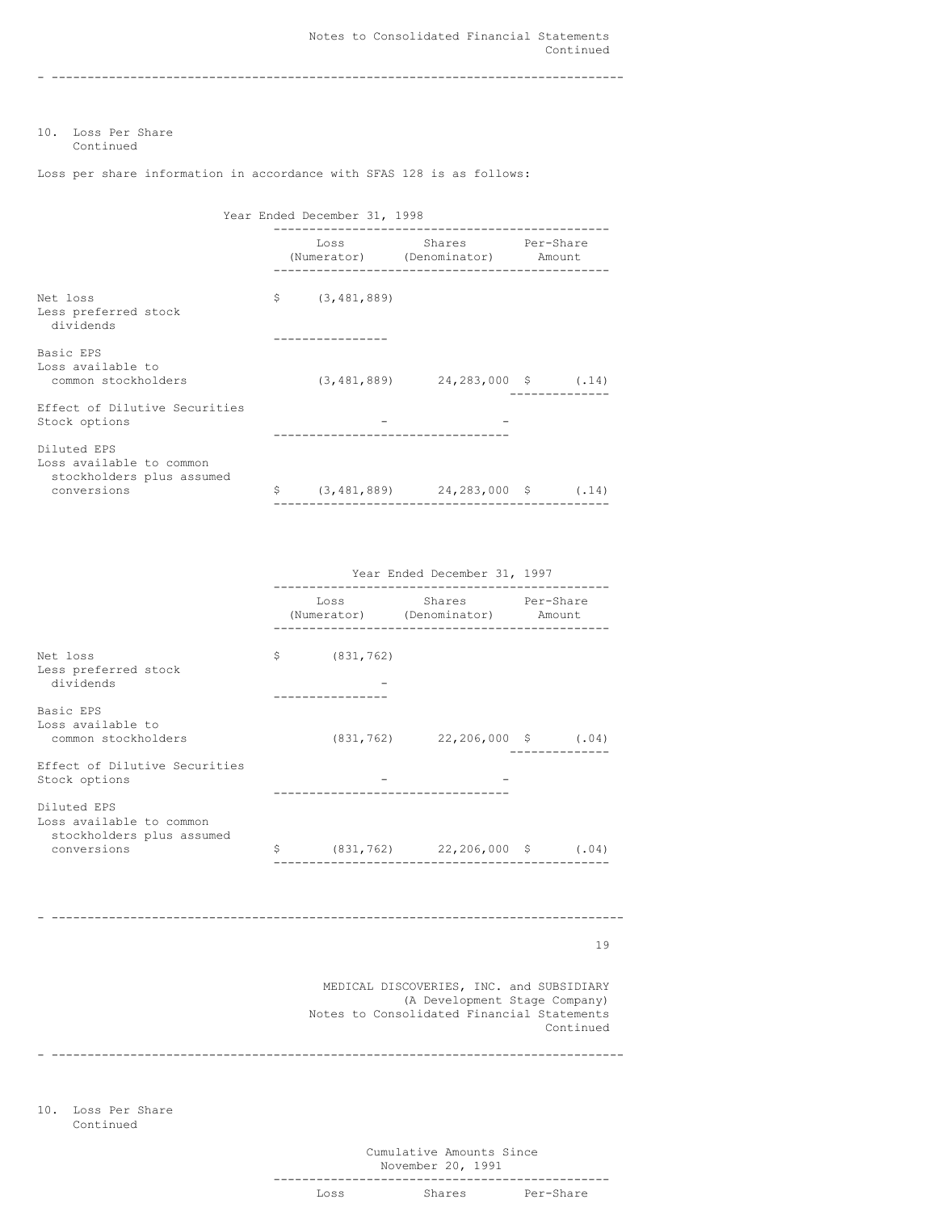10. Loss Per Share

Continued

Loss per share information in accordance with SFAS 128 is as follows:

|                                                                                     | Year Ended December 31, 1998 |                               |                                                      |       |
|-------------------------------------------------------------------------------------|------------------------------|-------------------------------|------------------------------------------------------|-------|
|                                                                                     |                              | Loss                          | Shares Per-Share<br>(Numerator) (Denominator) Amount |       |
| Net loss<br>Less preferred stock<br>dividends                                       |                              | $\mathsf{S}$<br>(3, 481, 889) |                                                      |       |
| Basic EPS<br>Loss available to<br>common stockholders                               |                              |                               | $(3, 481, 889)$ 24, 283, 000 \$                      | (.14) |
| Effect of Dilutive Securities<br>Stock options                                      |                              |                               |                                                      |       |
| Diluted EPS<br>Loss available to common<br>stockholders plus assumed<br>conversions | \$                           |                               | $(3, 481, 889)$ 24, 283, 000 \$                      | (.14) |

- --------------------------------------------------------------------------------

|                                                                                     |               | Year Ended December 31, 1997                                                                                            |           |    |
|-------------------------------------------------------------------------------------|---------------|-------------------------------------------------------------------------------------------------------------------------|-----------|----|
|                                                                                     |               | Loss Shares Per-Share<br>(Numerator) (Denominator) Amount                                                               |           |    |
| Net loss<br>Less preferred stock<br>dividends                                       | $$$ (831,762) |                                                                                                                         |           |    |
| Basic EPS<br>Loss available to<br>common stockholders                               |               | $(831, 762)$ 22, 206, 000 \$ (.04)                                                                                      |           |    |
| Effect of Dilutive Securities<br>Stock options                                      |               |                                                                                                                         |           |    |
| Diluted EPS<br>Loss available to common<br>stockholders plus assumed<br>conversions |               | $$$ (831,762) 22,206,000 \$ (.04)                                                                                       |           |    |
|                                                                                     |               |                                                                                                                         |           |    |
|                                                                                     |               |                                                                                                                         |           | 19 |
|                                                                                     |               | MEDICAL DISCOVERIES, INC. and SUBSIDIARY<br>(A Development Stage Company)<br>Notes to Consolidated Financial Statements | Continued |    |
| 10. Loss Per Share<br>Continued                                                     |               |                                                                                                                         |           |    |

Cumulative Amounts Since November 20, 1991 ----------------------------------------------- Shares Per-Share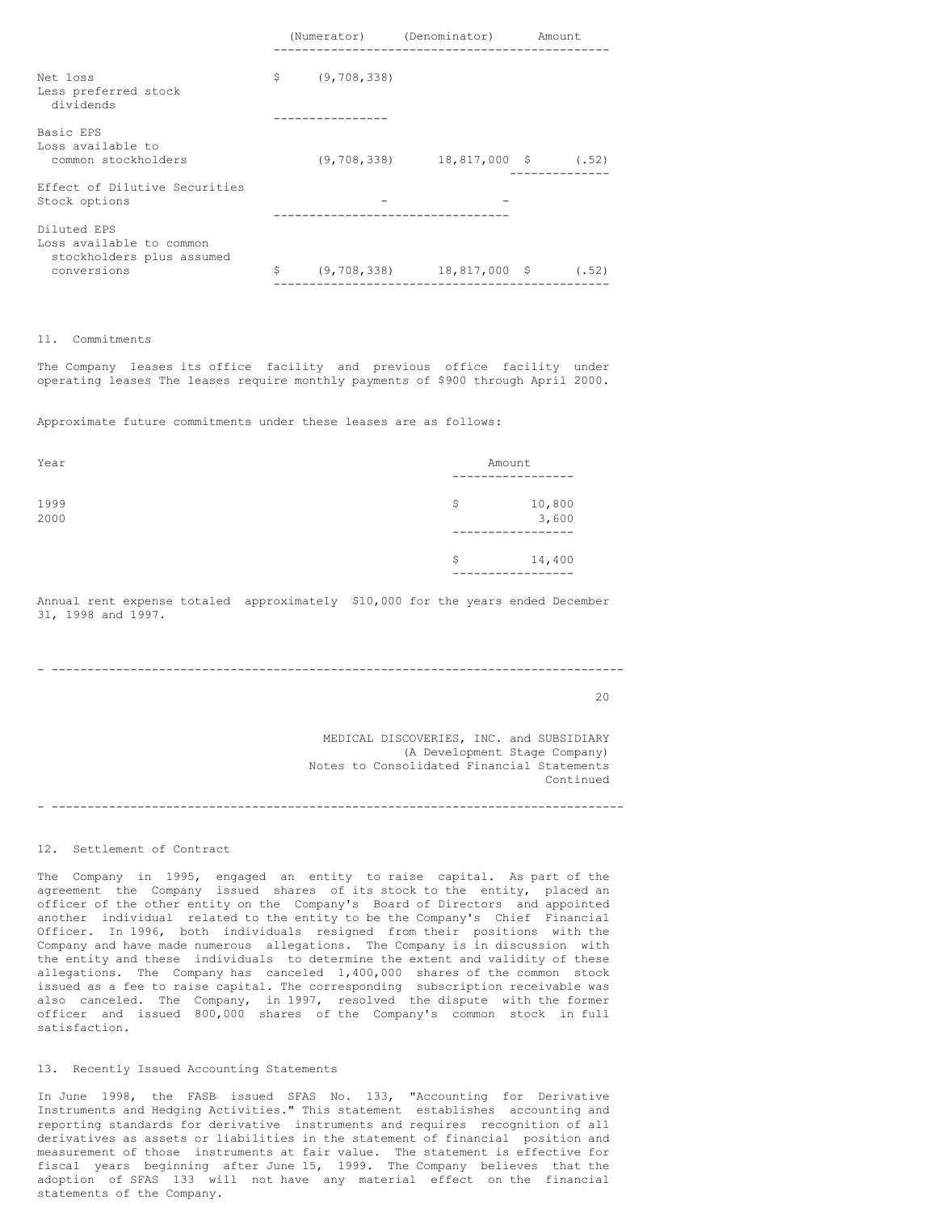|                                                       | (Numerator)         | (Denominator) | Amount |  |
|-------------------------------------------------------|---------------------|---------------|--------|--|
|                                                       |                     |               |        |  |
| Net loss                                              | \$<br>(9, 708, 338) |               |        |  |
| Less preferred stock<br>dividends                     |                     |               |        |  |
|                                                       |                     |               |        |  |
| Basic EPS                                             |                     |               |        |  |
| Loss available to                                     |                     |               |        |  |
| common stockholders                                   | (9, 708, 338)       | 18,817,000 \$ | (.52)  |  |
| Effect of Dilutive Securities                         |                     |               |        |  |
| Stock options                                         |                     |               |        |  |
|                                                       |                     |               |        |  |
| Diluted EPS                                           |                     |               |        |  |
| Loss available to common<br>stockholders plus assumed |                     |               |        |  |
| conversions                                           | \$<br>(9, 708, 338) | 18,817,000 \$ | (.52)  |  |
|                                                       |                     |               |        |  |

## 11. Commitments

The Company leases its office facility and previous office facility under operating leases The leases require monthly payments of \$900 through April 2000.

Approximate future commitments under these leases are as follows:

| Year         | Amount                |  |
|--------------|-----------------------|--|
| 1999<br>2000 | \$<br>10,800<br>3,600 |  |
|              | \$<br>14,400          |  |

Annual rent expense totaled approximately \$10,000 for the years ended December 31, 1998 and 1997.

#### - --------------------------------------------------------------------------------

- --------------------------------------------------------------------------------

 $20$ 

MEDICAL DISCOVERIES, INC. and SUBSIDIARY (A Development Stage Company) Notes to Consolidated Financial Statements Continued

# 12. Settlement of Contract

The Company in 1995, engaged an entity to raise capital. As part of the agreement the Company issued shares of its stock to the entity, placed an officer of the other entity on the Company's Board of Directors and appointed another individual related to the entity to be the Company's Chief Financial Officer. In 1996, both individuals resigned from their positions with the Company and have made numerous allegations. The Company is in discussion with the entity and these individuals to determine the extent and validity of these allegations. The Company has canceled 1,400,000 shares of the common stock issued as a fee to raise capital. The corresponding subscription receivable was also canceled. The Company, in 1997, resolved the dispute with the former officer and issued 800,000 shares of the Company's common stock in full satisfaction.

# 13. Recently Issued Accounting Statements

In June 1998, the FASB issued SFAS No. 133, "Accounting for Derivative Instruments and Hedging Activities." This statement establishes accounting and reporting standards for derivative instruments and requires recognition of all derivatives as assets or liabilities in the statement of financial position and measurement of those instruments at fair value. The statement is effective for fiscal years beginning after June 15, 1999. The Company believes that the adoption of SFAS 133 will not have any material effect on the financial statements of the Company.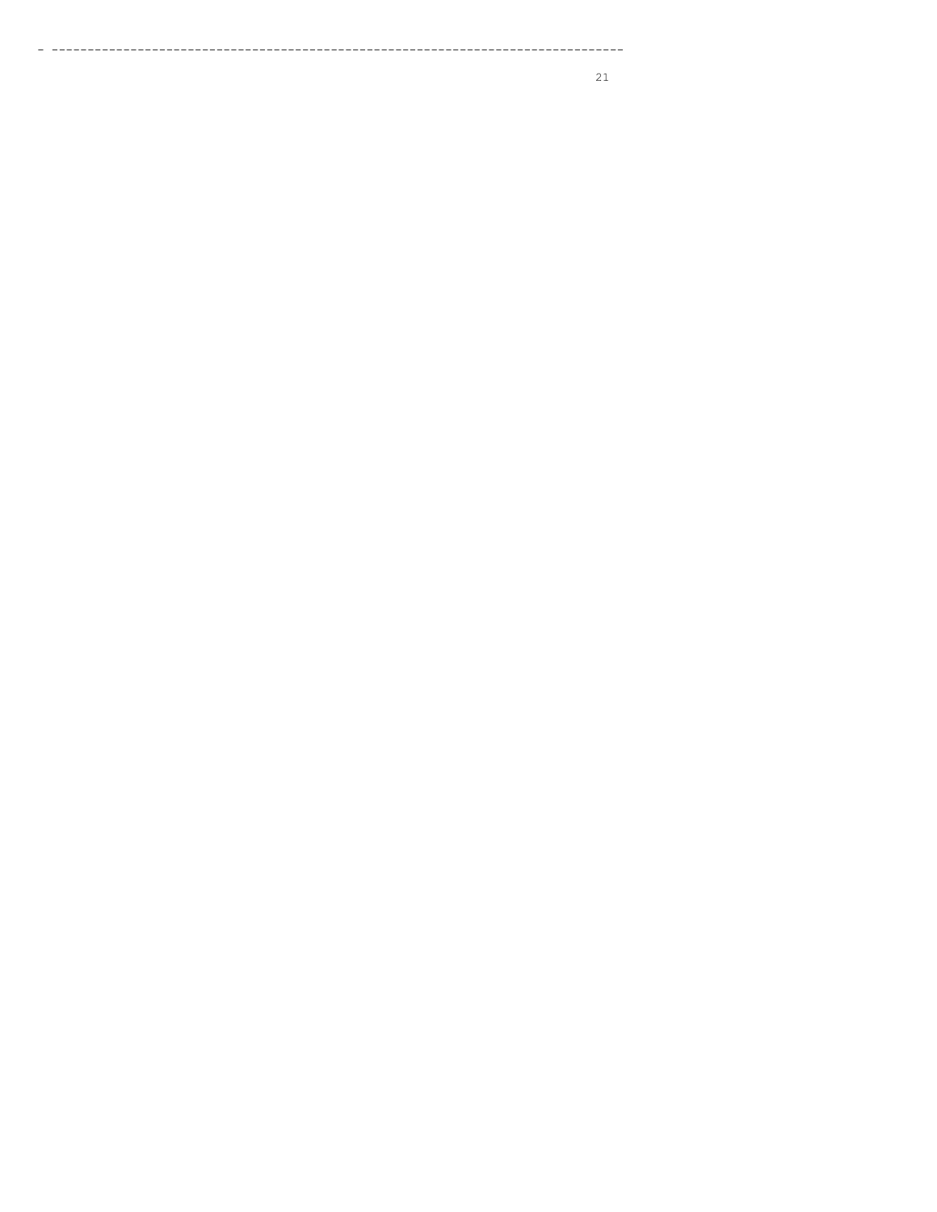\_\_\_\_\_\_\_\_\_\_\_\_\_\_\_\_\_\_\_

 $21$